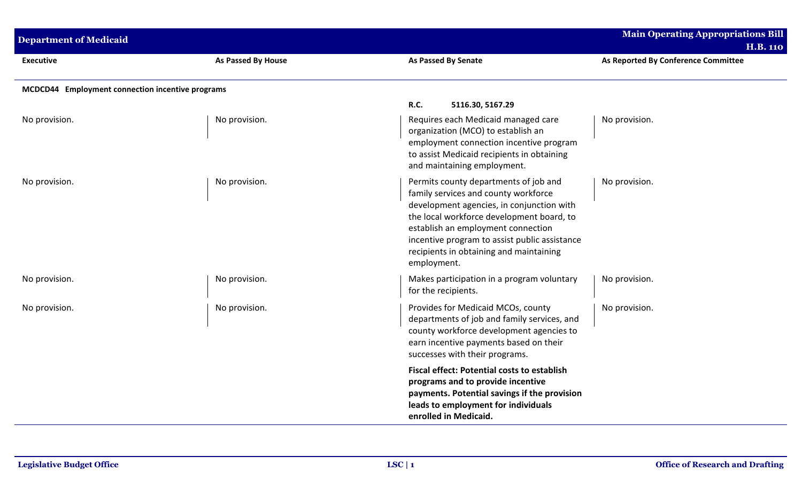| <b>Department of Medicaid</b>                    |                           |                                                                                                                                                                                                                                                                                                                          | <b>Main Operating Appropriations Bill</b><br><b>H.B. 110</b> |
|--------------------------------------------------|---------------------------|--------------------------------------------------------------------------------------------------------------------------------------------------------------------------------------------------------------------------------------------------------------------------------------------------------------------------|--------------------------------------------------------------|
| <b>Executive</b>                                 | <b>As Passed By House</b> | As Passed By Senate                                                                                                                                                                                                                                                                                                      | As Reported By Conference Committee                          |
| MCDCD44 Employment connection incentive programs |                           |                                                                                                                                                                                                                                                                                                                          |                                                              |
|                                                  |                           | <b>R.C.</b><br>5116.30, 5167.29                                                                                                                                                                                                                                                                                          |                                                              |
| No provision.                                    | No provision.             | Requires each Medicaid managed care<br>organization (MCO) to establish an<br>employment connection incentive program<br>to assist Medicaid recipients in obtaining<br>and maintaining employment.                                                                                                                        | No provision.                                                |
| No provision.                                    | No provision.             | Permits county departments of job and<br>family services and county workforce<br>development agencies, in conjunction with<br>the local workforce development board, to<br>establish an employment connection<br>incentive program to assist public assistance<br>recipients in obtaining and maintaining<br>employment. | No provision.                                                |
| No provision.                                    | No provision.             | Makes participation in a program voluntary<br>for the recipients.                                                                                                                                                                                                                                                        | No provision.                                                |
| No provision.                                    | No provision.             | Provides for Medicaid MCOs, county<br>departments of job and family services, and<br>county workforce development agencies to<br>earn incentive payments based on their<br>successes with their programs.                                                                                                                | No provision.                                                |
|                                                  |                           | <b>Fiscal effect: Potential costs to establish</b><br>programs and to provide incentive<br>payments. Potential savings if the provision<br>leads to employment for individuals<br>enrolled in Medicaid.                                                                                                                  |                                                              |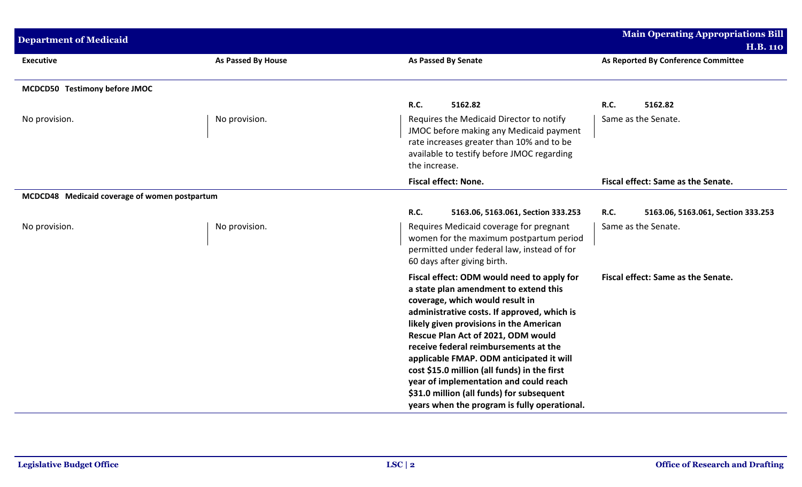| <b>Department of Medicaid</b>                 |                    |                                                                                                                                                                                                                                                                                                                                                                                                                                                                                                                                    | <b>Main Operating Appropriations Bill</b><br><b>H.B. 110</b> |
|-----------------------------------------------|--------------------|------------------------------------------------------------------------------------------------------------------------------------------------------------------------------------------------------------------------------------------------------------------------------------------------------------------------------------------------------------------------------------------------------------------------------------------------------------------------------------------------------------------------------------|--------------------------------------------------------------|
| <b>Executive</b>                              | As Passed By House | <b>As Passed By Senate</b>                                                                                                                                                                                                                                                                                                                                                                                                                                                                                                         | As Reported By Conference Committee                          |
| MCDCD50 Testimony before JMOC                 |                    |                                                                                                                                                                                                                                                                                                                                                                                                                                                                                                                                    |                                                              |
| No provision.                                 | No provision.      | R.C.<br>5162.82<br>Requires the Medicaid Director to notify<br>JMOC before making any Medicaid payment<br>rate increases greater than 10% and to be<br>available to testify before JMOC regarding<br>the increase.                                                                                                                                                                                                                                                                                                                 | <b>R.C.</b><br>5162.82<br>Same as the Senate.                |
|                                               |                    | <b>Fiscal effect: None.</b>                                                                                                                                                                                                                                                                                                                                                                                                                                                                                                        | Fiscal effect: Same as the Senate.                           |
| MCDCD48 Medicaid coverage of women postpartum |                    | <b>R.C.</b><br>5163.06, 5163.061, Section 333.253                                                                                                                                                                                                                                                                                                                                                                                                                                                                                  | <b>R.C.</b><br>5163.06, 5163.061, Section 333.253            |
| No provision.                                 | No provision.      | Requires Medicaid coverage for pregnant<br>women for the maximum postpartum period<br>permitted under federal law, instead of for<br>60 days after giving birth.                                                                                                                                                                                                                                                                                                                                                                   | Same as the Senate.                                          |
|                                               |                    | Fiscal effect: ODM would need to apply for<br>a state plan amendment to extend this<br>coverage, which would result in<br>administrative costs. If approved, which is<br>likely given provisions in the American<br>Rescue Plan Act of 2021, ODM would<br>receive federal reimbursements at the<br>applicable FMAP. ODM anticipated it will<br>cost \$15.0 million (all funds) in the first<br>year of implementation and could reach<br>\$31.0 million (all funds) for subsequent<br>years when the program is fully operational. | Fiscal effect: Same as the Senate.                           |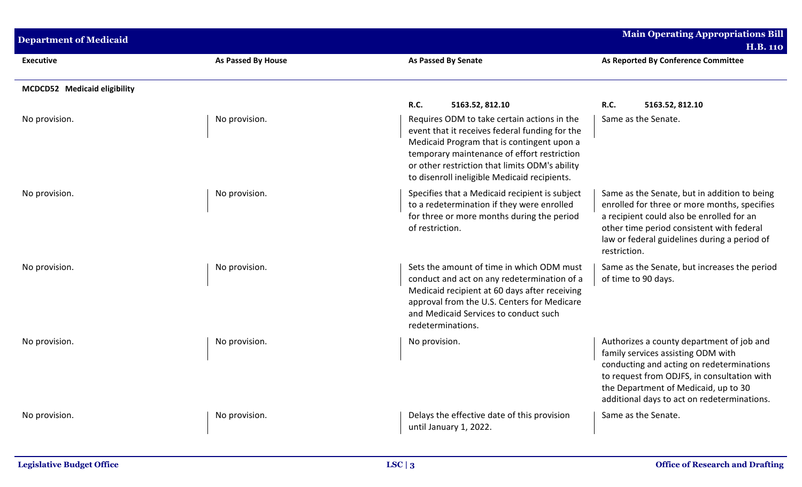| <b>Department of Medicaid</b> |                    |                                                                                                                                                                                                                                                                                              | <b>Main Operating Appropriations Bill</b><br><b>H.B. 110</b>                                                                                                                                                                                                       |
|-------------------------------|--------------------|----------------------------------------------------------------------------------------------------------------------------------------------------------------------------------------------------------------------------------------------------------------------------------------------|--------------------------------------------------------------------------------------------------------------------------------------------------------------------------------------------------------------------------------------------------------------------|
| <b>Executive</b>              | As Passed By House | <b>As Passed By Senate</b>                                                                                                                                                                                                                                                                   | As Reported By Conference Committee                                                                                                                                                                                                                                |
| MCDCD52 Medicaid eligibility  |                    |                                                                                                                                                                                                                                                                                              |                                                                                                                                                                                                                                                                    |
|                               |                    | <b>R.C.</b><br>5163.52, 812.10                                                                                                                                                                                                                                                               | <b>R.C.</b><br>5163.52, 812.10                                                                                                                                                                                                                                     |
| No provision.                 | No provision.      | Requires ODM to take certain actions in the<br>event that it receives federal funding for the<br>Medicaid Program that is contingent upon a<br>temporary maintenance of effort restriction<br>or other restriction that limits ODM's ability<br>to disenroll ineligible Medicaid recipients. | Same as the Senate.                                                                                                                                                                                                                                                |
| No provision.                 | No provision.      | Specifies that a Medicaid recipient is subject<br>to a redetermination if they were enrolled<br>for three or more months during the period<br>of restriction.                                                                                                                                | Same as the Senate, but in addition to being<br>enrolled for three or more months, specifies<br>a recipient could also be enrolled for an<br>other time period consistent with federal<br>law or federal guidelines during a period of<br>restriction.             |
| No provision.                 | No provision.      | Sets the amount of time in which ODM must<br>conduct and act on any redetermination of a<br>Medicaid recipient at 60 days after receiving<br>approval from the U.S. Centers for Medicare<br>and Medicaid Services to conduct such<br>redeterminations.                                       | Same as the Senate, but increases the period<br>of time to 90 days.                                                                                                                                                                                                |
| No provision.                 | No provision.      | No provision.                                                                                                                                                                                                                                                                                | Authorizes a county department of job and<br>family services assisting ODM with<br>conducting and acting on redeterminations<br>to request from ODJFS, in consultation with<br>the Department of Medicaid, up to 30<br>additional days to act on redeterminations. |
| No provision.                 | No provision.      | Delays the effective date of this provision<br>until January 1, 2022.                                                                                                                                                                                                                        | Same as the Senate.                                                                                                                                                                                                                                                |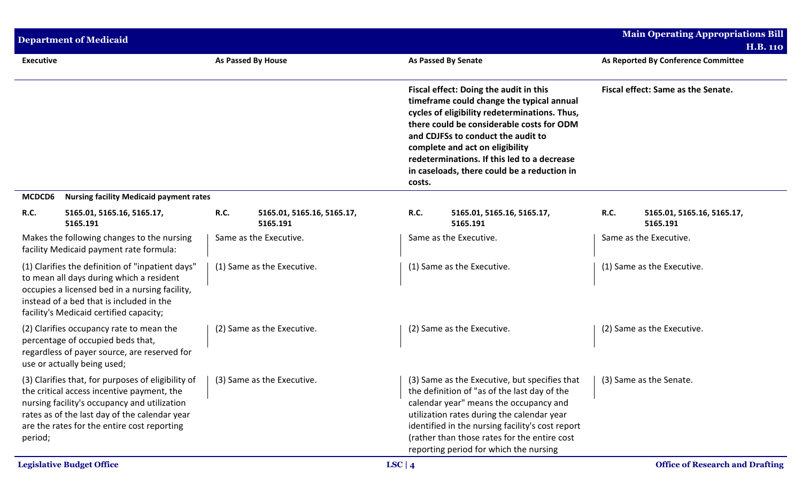|                  | <b>Department of Medicaid</b>                                                                                                                                                                                                                    |      |                                        |           |                                                                                                                                                                                                                                                                                                                                                          |      | <b>Main Operating Appropriations Bill</b><br><b>H.B. 110</b> |
|------------------|--------------------------------------------------------------------------------------------------------------------------------------------------------------------------------------------------------------------------------------------------|------|----------------------------------------|-----------|----------------------------------------------------------------------------------------------------------------------------------------------------------------------------------------------------------------------------------------------------------------------------------------------------------------------------------------------------------|------|--------------------------------------------------------------|
| <b>Executive</b> |                                                                                                                                                                                                                                                  |      | As Passed By House                     |           | <b>As Passed By Senate</b>                                                                                                                                                                                                                                                                                                                               |      | As Reported By Conference Committee                          |
|                  |                                                                                                                                                                                                                                                  |      |                                        | costs.    | Fiscal effect: Doing the audit in this<br>timeframe could change the typical annual<br>cycles of eligibility redeterminations. Thus,<br>there could be considerable costs for ODM<br>and CDJFSs to conduct the audit to<br>complete and act on eligibility<br>redeterminations. If this led to a decrease<br>in caseloads, there could be a reduction in |      | Fiscal effect: Same as the Senate.                           |
| MCDCD6           | <b>Nursing facility Medicaid payment rates</b>                                                                                                                                                                                                   |      |                                        |           |                                                                                                                                                                                                                                                                                                                                                          |      |                                                              |
| R.C.             | 5165.01, 5165.16, 5165.17,<br>5165.191                                                                                                                                                                                                           | R.C. | 5165.01, 5165.16, 5165.17,<br>5165.191 | R.C.      | 5165.01, 5165.16, 5165.17,<br>5165.191                                                                                                                                                                                                                                                                                                                   | R.C. | 5165.01, 5165.16, 5165.17,<br>5165.191                       |
|                  | Makes the following changes to the nursing<br>facility Medicaid payment rate formula:                                                                                                                                                            |      | Same as the Executive.                 |           | Same as the Executive.                                                                                                                                                                                                                                                                                                                                   |      | Same as the Executive.                                       |
|                  | (1) Clarifies the definition of "inpatient days"<br>to mean all days during which a resident<br>occupies a licensed bed in a nursing facility,<br>instead of a bed that is included in the<br>facility's Medicaid certified capacity;            |      | (1) Same as the Executive.             |           | (1) Same as the Executive.                                                                                                                                                                                                                                                                                                                               |      | (1) Same as the Executive.                                   |
|                  | (2) Clarifies occupancy rate to mean the<br>percentage of occupied beds that,<br>regardless of payer source, are reserved for<br>use or actually being used;                                                                                     |      | (2) Same as the Executive.             |           | (2) Same as the Executive.                                                                                                                                                                                                                                                                                                                               |      | (2) Same as the Executive.                                   |
| period;          | (3) Clarifies that, for purposes of eligibility of<br>the critical access incentive payment, the<br>nursing facility's occupancy and utilization<br>rates as of the last day of the calendar year<br>are the rates for the entire cost reporting |      | (3) Same as the Executive.             |           | (3) Same as the Executive, but specifies that<br>the definition of "as of the last day of the<br>calendar year" means the occupancy and<br>utilization rates during the calendar year<br>identified in the nursing facility's cost report<br>(rather than those rates for the entire cost<br>reporting period for which the nursing                      |      | (3) Same as the Senate.                                      |
|                  | <b>Legislative Budget Office</b>                                                                                                                                                                                                                 |      |                                        | LSC   $4$ |                                                                                                                                                                                                                                                                                                                                                          |      | <b>Office of Research and Drafting</b>                       |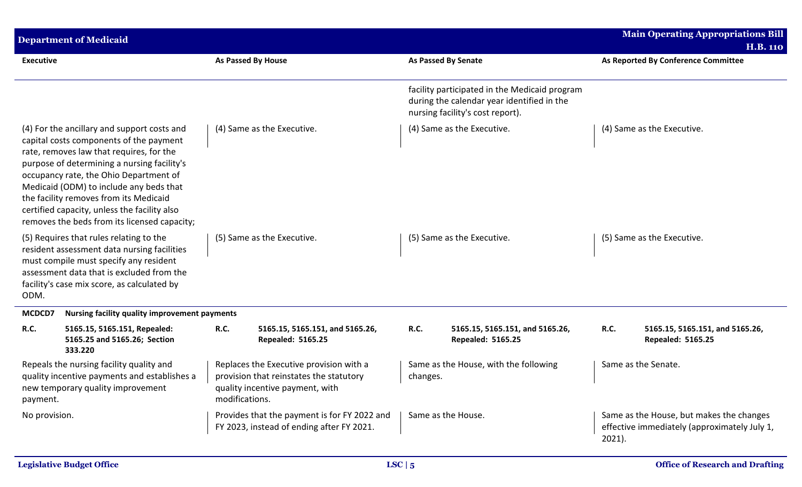|                  | <b>Department of Medicaid</b>                                                                                                                                                                                                                                                                                                                                                                                    |                    |                                                                                                                       |          |                                                                                                                                 |           | <b>Main Operating Appropriations Bill</b><br><b>H.B. 110</b>                             |
|------------------|------------------------------------------------------------------------------------------------------------------------------------------------------------------------------------------------------------------------------------------------------------------------------------------------------------------------------------------------------------------------------------------------------------------|--------------------|-----------------------------------------------------------------------------------------------------------------------|----------|---------------------------------------------------------------------------------------------------------------------------------|-----------|------------------------------------------------------------------------------------------|
| <b>Executive</b> |                                                                                                                                                                                                                                                                                                                                                                                                                  | As Passed By House |                                                                                                                       |          | <b>As Passed By Senate</b>                                                                                                      |           | As Reported By Conference Committee                                                      |
|                  |                                                                                                                                                                                                                                                                                                                                                                                                                  |                    |                                                                                                                       |          | facility participated in the Medicaid program<br>during the calendar year identified in the<br>nursing facility's cost report). |           |                                                                                          |
|                  | (4) For the ancillary and support costs and<br>capital costs components of the payment<br>rate, removes law that requires, for the<br>purpose of determining a nursing facility's<br>occupancy rate, the Ohio Department of<br>Medicaid (ODM) to include any beds that<br>the facility removes from its Medicaid<br>certified capacity, unless the facility also<br>removes the beds from its licensed capacity; |                    | (4) Same as the Executive.                                                                                            |          | (4) Same as the Executive.                                                                                                      |           | (4) Same as the Executive.                                                               |
| ODM.             | (5) Requires that rules relating to the<br>resident assessment data nursing facilities<br>must compile must specify any resident<br>assessment data that is excluded from the<br>facility's case mix score, as calculated by                                                                                                                                                                                     |                    | (5) Same as the Executive.                                                                                            |          | (5) Same as the Executive.                                                                                                      |           | (5) Same as the Executive.                                                               |
| MCDCD7           | Nursing facility quality improvement payments                                                                                                                                                                                                                                                                                                                                                                    |                    |                                                                                                                       |          |                                                                                                                                 |           |                                                                                          |
| R.C.             | 5165.15, 5165.151, Repealed:<br>5165.25 and 5165.26; Section<br>333.220                                                                                                                                                                                                                                                                                                                                          | R.C.               | 5165.15, 5165.151, and 5165.26,<br><b>Repealed: 5165.25</b>                                                           | R.C.     | 5165.15, 5165.151, and 5165.26,<br><b>Repealed: 5165.25</b>                                                                     | R.C.      | 5165.15, 5165.151, and 5165.26,<br><b>Repealed: 5165.25</b>                              |
| payment.         | Repeals the nursing facility quality and<br>quality incentive payments and establishes a<br>new temporary quality improvement                                                                                                                                                                                                                                                                                    | modifications.     | Replaces the Executive provision with a<br>provision that reinstates the statutory<br>quality incentive payment, with | changes. | Same as the House, with the following                                                                                           |           | Same as the Senate.                                                                      |
| No provision.    |                                                                                                                                                                                                                                                                                                                                                                                                                  |                    | Provides that the payment is for FY 2022 and<br>FY 2023, instead of ending after FY 2021.                             |          | Same as the House.                                                                                                              | $2021$ ). | Same as the House, but makes the changes<br>effective immediately (approximately July 1, |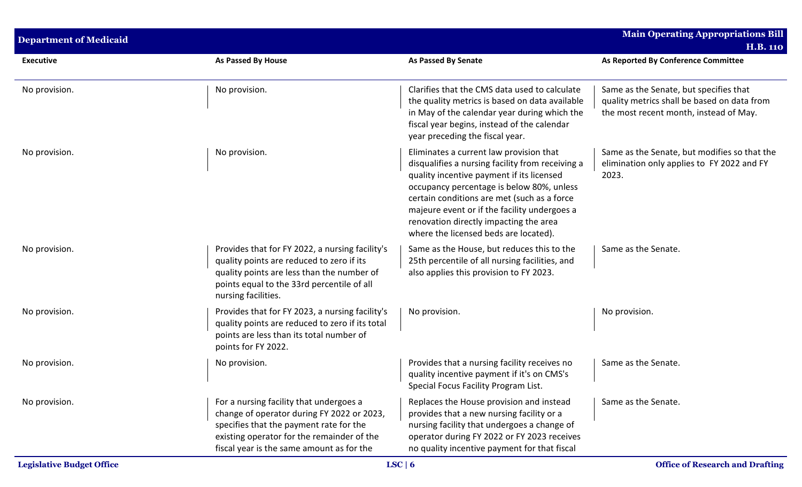| <b>Department of Medicaid</b> |                                                                                                                                                                                                                             |                                                                                                                                                                                                                                                                                                                                                                         | <b>Main Operating Appropriations Bill</b><br><b>H.B. 110</b>                                                                    |
|-------------------------------|-----------------------------------------------------------------------------------------------------------------------------------------------------------------------------------------------------------------------------|-------------------------------------------------------------------------------------------------------------------------------------------------------------------------------------------------------------------------------------------------------------------------------------------------------------------------------------------------------------------------|---------------------------------------------------------------------------------------------------------------------------------|
| <b>Executive</b>              | <b>As Passed By House</b>                                                                                                                                                                                                   | <b>As Passed By Senate</b>                                                                                                                                                                                                                                                                                                                                              | As Reported By Conference Committee                                                                                             |
| No provision.                 | No provision.                                                                                                                                                                                                               | Clarifies that the CMS data used to calculate<br>the quality metrics is based on data available<br>in May of the calendar year during which the<br>fiscal year begins, instead of the calendar<br>year preceding the fiscal year.                                                                                                                                       | Same as the Senate, but specifies that<br>quality metrics shall be based on data from<br>the most recent month, instead of May. |
| No provision.                 | No provision.                                                                                                                                                                                                               | Eliminates a current law provision that<br>disqualifies a nursing facility from receiving a<br>quality incentive payment if its licensed<br>occupancy percentage is below 80%, unless<br>certain conditions are met (such as a force<br>majeure event or if the facility undergoes a<br>renovation directly impacting the area<br>where the licensed beds are located). | Same as the Senate, but modifies so that the<br>elimination only applies to FY 2022 and FY<br>2023.                             |
| No provision.                 | Provides that for FY 2022, a nursing facility's<br>quality points are reduced to zero if its<br>quality points are less than the number of<br>points equal to the 33rd percentile of all<br>nursing facilities.             | Same as the House, but reduces this to the<br>25th percentile of all nursing facilities, and<br>also applies this provision to FY 2023.                                                                                                                                                                                                                                 | Same as the Senate.                                                                                                             |
| No provision.                 | Provides that for FY 2023, a nursing facility's<br>quality points are reduced to zero if its total<br>points are less than its total number of<br>points for FY 2022.                                                       | No provision.                                                                                                                                                                                                                                                                                                                                                           | No provision.                                                                                                                   |
| No provision.                 | No provision.                                                                                                                                                                                                               | Provides that a nursing facility receives no<br>quality incentive payment if it's on CMS's<br>Special Focus Facility Program List.                                                                                                                                                                                                                                      | Same as the Senate.                                                                                                             |
| No provision.                 | For a nursing facility that undergoes a<br>change of operator during FY 2022 or 2023,<br>specifies that the payment rate for the<br>existing operator for the remainder of the<br>fiscal year is the same amount as for the | Replaces the House provision and instead<br>provides that a new nursing facility or a<br>nursing facility that undergoes a change of<br>operator during FY 2022 or FY 2023 receives<br>no quality incentive payment for that fiscal                                                                                                                                     | Same as the Senate.                                                                                                             |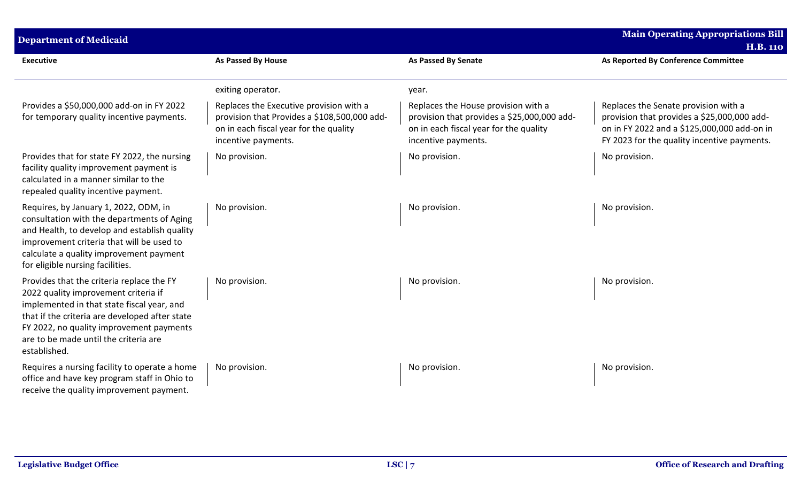| <b>Department of Medicaid</b>                                                                                                                                                                                                                                                          |                                                                                                                                                          |                                                                                                                                                     | <b>Main Operating Appropriations Bill</b><br><b>H.B. 110</b>                                                                                                                      |
|----------------------------------------------------------------------------------------------------------------------------------------------------------------------------------------------------------------------------------------------------------------------------------------|----------------------------------------------------------------------------------------------------------------------------------------------------------|-----------------------------------------------------------------------------------------------------------------------------------------------------|-----------------------------------------------------------------------------------------------------------------------------------------------------------------------------------|
| <b>Executive</b>                                                                                                                                                                                                                                                                       | <b>As Passed By House</b>                                                                                                                                | <b>As Passed By Senate</b>                                                                                                                          | As Reported By Conference Committee                                                                                                                                               |
|                                                                                                                                                                                                                                                                                        | exiting operator.                                                                                                                                        | year.                                                                                                                                               |                                                                                                                                                                                   |
| Provides a \$50,000,000 add-on in FY 2022<br>for temporary quality incentive payments.                                                                                                                                                                                                 | Replaces the Executive provision with a<br>provision that Provides a \$108,500,000 add-<br>on in each fiscal year for the quality<br>incentive payments. | Replaces the House provision with a<br>provision that provides a \$25,000,000 add-<br>on in each fiscal year for the quality<br>incentive payments. | Replaces the Senate provision with a<br>provision that provides a \$25,000,000 add-<br>on in FY 2022 and a \$125,000,000 add-on in<br>FY 2023 for the quality incentive payments. |
| Provides that for state FY 2022, the nursing<br>facility quality improvement payment is<br>calculated in a manner similar to the<br>repealed quality incentive payment.                                                                                                                | No provision.                                                                                                                                            | No provision.                                                                                                                                       | No provision.                                                                                                                                                                     |
| Requires, by January 1, 2022, ODM, in<br>consultation with the departments of Aging<br>and Health, to develop and establish quality<br>improvement criteria that will be used to<br>calculate a quality improvement payment<br>for eligible nursing facilities.                        | No provision.                                                                                                                                            | No provision.                                                                                                                                       | No provision.                                                                                                                                                                     |
| Provides that the criteria replace the FY<br>2022 quality improvement criteria if<br>implemented in that state fiscal year, and<br>that if the criteria are developed after state<br>FY 2022, no quality improvement payments<br>are to be made until the criteria are<br>established. | No provision.                                                                                                                                            | No provision.                                                                                                                                       | No provision.                                                                                                                                                                     |
| Requires a nursing facility to operate a home<br>office and have key program staff in Ohio to<br>receive the quality improvement payment.                                                                                                                                              | No provision.                                                                                                                                            | No provision.                                                                                                                                       | No provision.                                                                                                                                                                     |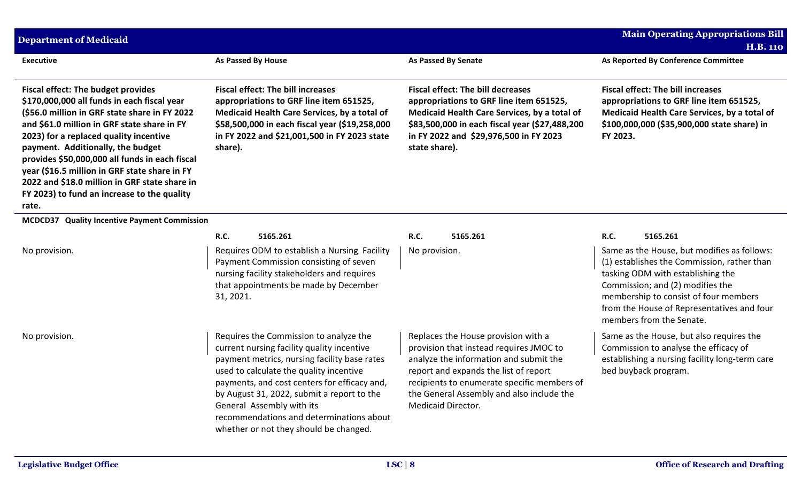| <b>Department of Medicaid</b>                                                                                                                                                                                                                                                                                                                                                                                                                                                       |                                                                                                                                                                                                                                                                                                                                                                                                  |                                                                                                                                                                                                                                                                                            | <b>Main Operating Appropriations Bill</b><br><b>H.B. 110</b>                                                                                                                                                                                                                                               |
|-------------------------------------------------------------------------------------------------------------------------------------------------------------------------------------------------------------------------------------------------------------------------------------------------------------------------------------------------------------------------------------------------------------------------------------------------------------------------------------|--------------------------------------------------------------------------------------------------------------------------------------------------------------------------------------------------------------------------------------------------------------------------------------------------------------------------------------------------------------------------------------------------|--------------------------------------------------------------------------------------------------------------------------------------------------------------------------------------------------------------------------------------------------------------------------------------------|------------------------------------------------------------------------------------------------------------------------------------------------------------------------------------------------------------------------------------------------------------------------------------------------------------|
| <b>Executive</b>                                                                                                                                                                                                                                                                                                                                                                                                                                                                    | As Passed By House                                                                                                                                                                                                                                                                                                                                                                               | <b>As Passed By Senate</b>                                                                                                                                                                                                                                                                 | As Reported By Conference Committee                                                                                                                                                                                                                                                                        |
| <b>Fiscal effect: The budget provides</b><br>\$170,000,000 all funds in each fiscal year<br>(\$56.0 million in GRF state share in FY 2022<br>and \$61.0 million in GRF state share in FY<br>2023) for a replaced quality incentive<br>payment. Additionally, the budget<br>provides \$50,000,000 all funds in each fiscal<br>year (\$16.5 million in GRF state share in FY<br>2022 and \$18.0 million in GRF state share in<br>FY 2023) to fund an increase to the quality<br>rate. | <b>Fiscal effect: The bill increases</b><br>appropriations to GRF line item 651525,<br>Medicaid Health Care Services, by a total of<br>\$58,500,000 in each fiscal year (\$19,258,000<br>in FY 2022 and \$21,001,500 in FY 2023 state<br>share).                                                                                                                                                 | <b>Fiscal effect: The bill decreases</b><br>appropriations to GRF line item 651525,<br>Medicaid Health Care Services, by a total of<br>\$83,500,000 in each fiscal year (\$27,488,200<br>in FY 2022 and \$29,976,500 in FY 2023<br>state share).                                           | <b>Fiscal effect: The bill increases</b><br>appropriations to GRF line item 651525,<br>Medicaid Health Care Services, by a total of<br>\$100,000,000 (\$35,900,000 state share) in<br>FY 2023.                                                                                                             |
| MCDCD37 Quality Incentive Payment Commission                                                                                                                                                                                                                                                                                                                                                                                                                                        |                                                                                                                                                                                                                                                                                                                                                                                                  |                                                                                                                                                                                                                                                                                            |                                                                                                                                                                                                                                                                                                            |
| No provision.                                                                                                                                                                                                                                                                                                                                                                                                                                                                       | <b>R.C.</b><br>5165.261<br>Requires ODM to establish a Nursing Facility<br>Payment Commission consisting of seven<br>nursing facility stakeholders and requires<br>that appointments be made by December<br>31, 2021.                                                                                                                                                                            | <b>R.C.</b><br>5165.261<br>No provision.                                                                                                                                                                                                                                                   | R.C.<br>5165.261<br>Same as the House, but modifies as follows:<br>(1) establishes the Commission, rather than<br>tasking ODM with establishing the<br>Commission; and (2) modifies the<br>membership to consist of four members<br>from the House of Representatives and four<br>members from the Senate. |
| No provision.                                                                                                                                                                                                                                                                                                                                                                                                                                                                       | Requires the Commission to analyze the<br>current nursing facility quality incentive<br>payment metrics, nursing facility base rates<br>used to calculate the quality incentive<br>payments, and cost centers for efficacy and,<br>by August 31, 2022, submit a report to the<br>General Assembly with its<br>recommendations and determinations about<br>whether or not they should be changed. | Replaces the House provision with a<br>provision that instead requires JMOC to<br>analyze the information and submit the<br>report and expands the list of report<br>recipients to enumerate specific members of<br>the General Assembly and also include the<br><b>Medicaid Director.</b> | Same as the House, but also requires the<br>Commission to analyse the efficacy of<br>establishing a nursing facility long-term care<br>bed buyback program.                                                                                                                                                |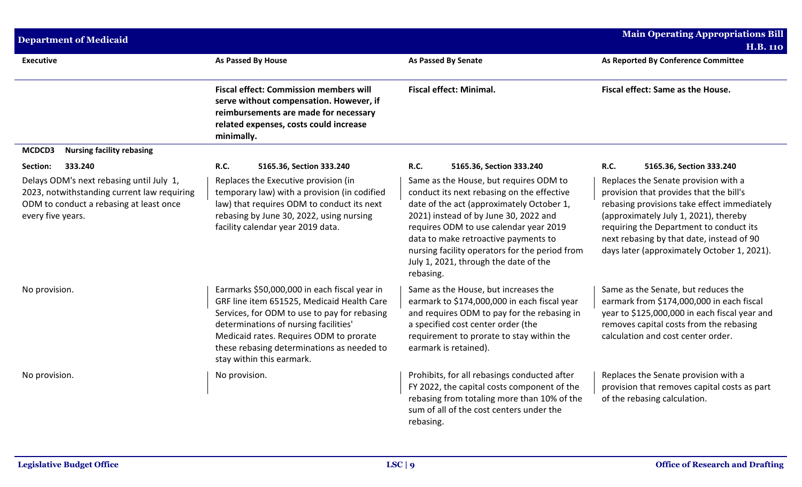| <b>Department of Medicaid</b>                                                                                                                           |                                                                                                                                                                                                                                                                                                           |                                                                                                                                                                                                                                                                                                                                                                      | <b>Main Operating Appropriations Bill</b>                                                                                                                                                                                                                                                                      |
|---------------------------------------------------------------------------------------------------------------------------------------------------------|-----------------------------------------------------------------------------------------------------------------------------------------------------------------------------------------------------------------------------------------------------------------------------------------------------------|----------------------------------------------------------------------------------------------------------------------------------------------------------------------------------------------------------------------------------------------------------------------------------------------------------------------------------------------------------------------|----------------------------------------------------------------------------------------------------------------------------------------------------------------------------------------------------------------------------------------------------------------------------------------------------------------|
| <b>Executive</b>                                                                                                                                        | <b>As Passed By House</b>                                                                                                                                                                                                                                                                                 | <b>As Passed By Senate</b>                                                                                                                                                                                                                                                                                                                                           | <b>H.B. 110</b><br>As Reported By Conference Committee                                                                                                                                                                                                                                                         |
|                                                                                                                                                         | <b>Fiscal effect: Commission members will</b><br>serve without compensation. However, if<br>reimbursements are made for necessary<br>related expenses, costs could increase<br>minimally.                                                                                                                 | <b>Fiscal effect: Minimal.</b>                                                                                                                                                                                                                                                                                                                                       | Fiscal effect: Same as the House.                                                                                                                                                                                                                                                                              |
| <b>Nursing facility rebasing</b><br>MCDCD3                                                                                                              |                                                                                                                                                                                                                                                                                                           |                                                                                                                                                                                                                                                                                                                                                                      |                                                                                                                                                                                                                                                                                                                |
| 333.240<br>Section:                                                                                                                                     | <b>R.C.</b><br>5165.36, Section 333.240                                                                                                                                                                                                                                                                   | <b>R.C.</b><br>5165.36, Section 333.240                                                                                                                                                                                                                                                                                                                              | R.C.<br>5165.36, Section 333.240                                                                                                                                                                                                                                                                               |
| Delays ODM's next rebasing until July 1,<br>2023, notwithstanding current law requiring<br>ODM to conduct a rebasing at least once<br>every five years. | Replaces the Executive provision (in<br>temporary law) with a provision (in codified<br>law) that requires ODM to conduct its next<br>rebasing by June 30, 2022, using nursing<br>facility calendar year 2019 data.                                                                                       | Same as the House, but requires ODM to<br>conduct its next rebasing on the effective<br>date of the act (approximately October 1,<br>2021) instead of by June 30, 2022 and<br>requires ODM to use calendar year 2019<br>data to make retroactive payments to<br>nursing facility operators for the period from<br>July 1, 2021, through the date of the<br>rebasing. | Replaces the Senate provision with a<br>provision that provides that the bill's<br>rebasing provisions take effect immediately<br>(approximately July 1, 2021), thereby<br>requiring the Department to conduct its<br>next rebasing by that date, instead of 90<br>days later (approximately October 1, 2021). |
| No provision.                                                                                                                                           | Earmarks \$50,000,000 in each fiscal year in<br>GRF line item 651525, Medicaid Health Care<br>Services, for ODM to use to pay for rebasing<br>determinations of nursing facilities'<br>Medicaid rates. Requires ODM to prorate<br>these rebasing determinations as needed to<br>stay within this earmark. | Same as the House, but increases the<br>earmark to \$174,000,000 in each fiscal year<br>and requires ODM to pay for the rebasing in<br>a specified cost center order (the<br>requirement to prorate to stay within the<br>earmark is retained).                                                                                                                      | Same as the Senate, but reduces the<br>earmark from \$174,000,000 in each fiscal<br>year to \$125,000,000 in each fiscal year and<br>removes capital costs from the rebasing<br>calculation and cost center order.                                                                                             |
| No provision.                                                                                                                                           | No provision.                                                                                                                                                                                                                                                                                             | Prohibits, for all rebasings conducted after<br>FY 2022, the capital costs component of the<br>rebasing from totaling more than 10% of the<br>sum of all of the cost centers under the<br>rebasing.                                                                                                                                                                  | Replaces the Senate provision with a<br>provision that removes capital costs as part<br>of the rebasing calculation.                                                                                                                                                                                           |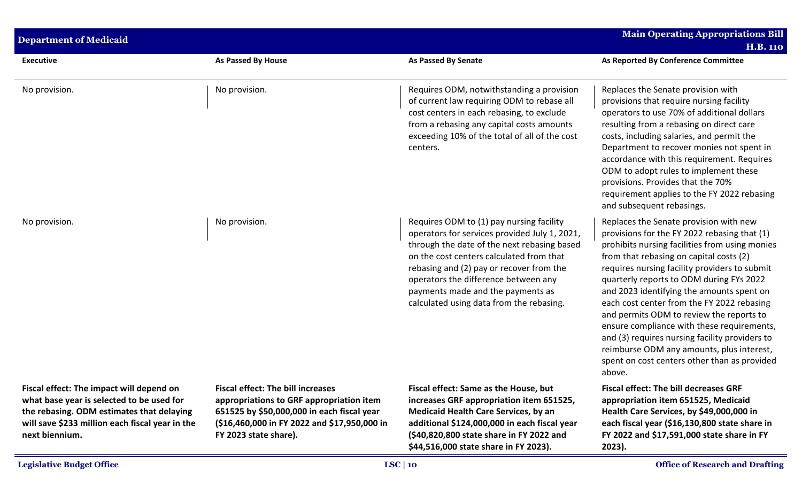| <b>Department of Medicaid</b>                                                                                                                                                                           |                                                                                                                                                                                                             |                                                                                                                                                                                                                                                                                                                                                           | <b>Main Operating Appropriations Bill</b><br><b>H.B. 110</b>                                                                                                                                                                                                                                                                                                                                                                                                                                                                                                                                                                   |  |  |
|---------------------------------------------------------------------------------------------------------------------------------------------------------------------------------------------------------|-------------------------------------------------------------------------------------------------------------------------------------------------------------------------------------------------------------|-----------------------------------------------------------------------------------------------------------------------------------------------------------------------------------------------------------------------------------------------------------------------------------------------------------------------------------------------------------|--------------------------------------------------------------------------------------------------------------------------------------------------------------------------------------------------------------------------------------------------------------------------------------------------------------------------------------------------------------------------------------------------------------------------------------------------------------------------------------------------------------------------------------------------------------------------------------------------------------------------------|--|--|
| <b>Executive</b>                                                                                                                                                                                        | <b>As Passed By House</b>                                                                                                                                                                                   | <b>As Passed By Senate</b>                                                                                                                                                                                                                                                                                                                                | As Reported By Conference Committee                                                                                                                                                                                                                                                                                                                                                                                                                                                                                                                                                                                            |  |  |
| No provision.                                                                                                                                                                                           | No provision.                                                                                                                                                                                               | Requires ODM, notwithstanding a provision<br>of current law requiring ODM to rebase all<br>cost centers in each rebasing, to exclude<br>from a rebasing any capital costs amounts<br>exceeding 10% of the total of all of the cost<br>centers.                                                                                                            | Replaces the Senate provision with<br>provisions that require nursing facility<br>operators to use 70% of additional dollars<br>resulting from a rebasing on direct care<br>costs, including salaries, and permit the<br>Department to recover monies not spent in<br>accordance with this requirement. Requires<br>ODM to adopt rules to implement these<br>provisions. Provides that the 70%<br>requirement applies to the FY 2022 rebasing<br>and subsequent rebasings.                                                                                                                                                     |  |  |
| No provision.                                                                                                                                                                                           | No provision.                                                                                                                                                                                               | Requires ODM to (1) pay nursing facility<br>operators for services provided July 1, 2021,<br>through the date of the next rebasing based<br>on the cost centers calculated from that<br>rebasing and (2) pay or recover from the<br>operators the difference between any<br>payments made and the payments as<br>calculated using data from the rebasing. | Replaces the Senate provision with new<br>provisions for the FY 2022 rebasing that (1)<br>prohibits nursing facilities from using monies<br>from that rebasing on capital costs (2)<br>requires nursing facility providers to submit<br>quarterly reports to ODM during FYs 2022<br>and 2023 identifying the amounts spent on<br>each cost center from the FY 2022 rebasing<br>and permits ODM to review the reports to<br>ensure compliance with these requirements,<br>and (3) requires nursing facility providers to<br>reimburse ODM any amounts, plus interest,<br>spent on cost centers other than as provided<br>above. |  |  |
| Fiscal effect: The impact will depend on<br>what base year is selected to be used for<br>the rebasing. ODM estimates that delaying<br>will save \$233 million each fiscal year in the<br>next biennium. | <b>Fiscal effect: The bill increases</b><br>appropriations to GRF appropriation item<br>651525 by \$50,000,000 in each fiscal year<br>(\$16,460,000 in FY 2022 and \$17,950,000 in<br>FY 2023 state share). | Fiscal effect: Same as the House, but<br>increases GRF appropriation item 651525,<br><b>Medicaid Health Care Services, by an</b><br>additional \$124,000,000 in each fiscal year<br>(\$40,820,800 state share in FY 2022 and<br>\$44,516,000 state share in FY 2023).                                                                                     | <b>Fiscal effect: The bill decreases GRF</b><br>appropriation item 651525, Medicaid<br>Health Care Services, by \$49,000,000 in<br>each fiscal year (\$16,130,800 state share in<br>FY 2022 and \$17,591,000 state share in FY<br>2023).                                                                                                                                                                                                                                                                                                                                                                                       |  |  |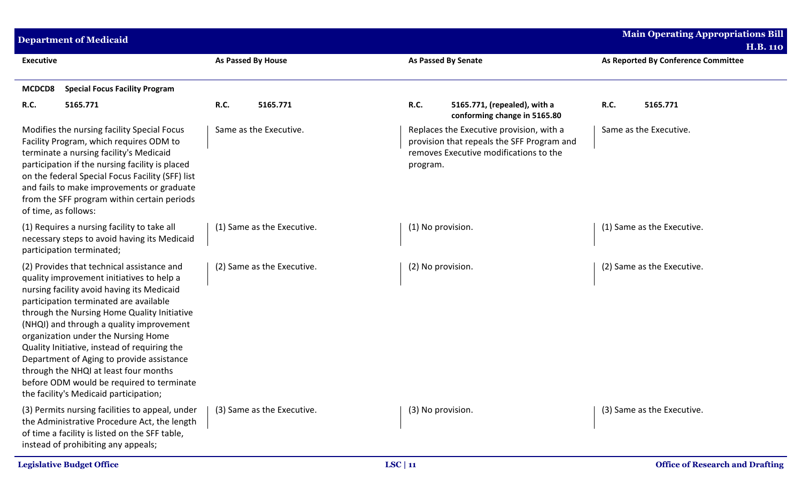| <b>Department of Medicaid</b>                                                                                                                                                                                                                                                                                                                                                                                                                                                                                                                  |                            |                                                                                                                                              | <b>Main Operating Appropriations Bill</b>              |
|------------------------------------------------------------------------------------------------------------------------------------------------------------------------------------------------------------------------------------------------------------------------------------------------------------------------------------------------------------------------------------------------------------------------------------------------------------------------------------------------------------------------------------------------|----------------------------|----------------------------------------------------------------------------------------------------------------------------------------------|--------------------------------------------------------|
| <b>Executive</b>                                                                                                                                                                                                                                                                                                                                                                                                                                                                                                                               | As Passed By House         | <b>As Passed By Senate</b>                                                                                                                   | <b>H.B. 110</b><br>As Reported By Conference Committee |
| MCDCD8<br><b>Special Focus Facility Program</b>                                                                                                                                                                                                                                                                                                                                                                                                                                                                                                |                            |                                                                                                                                              |                                                        |
| R.C.<br>5165.771                                                                                                                                                                                                                                                                                                                                                                                                                                                                                                                               | R.C.<br>5165.771           | R.C.<br>5165.771, (repealed), with a<br>conforming change in 5165.80                                                                         | 5165.771<br>R.C.                                       |
| Modifies the nursing facility Special Focus<br>Facility Program, which requires ODM to<br>terminate a nursing facility's Medicaid<br>participation if the nursing facility is placed<br>on the federal Special Focus Facility (SFF) list<br>and fails to make improvements or graduate<br>from the SFF program within certain periods<br>of time, as follows:                                                                                                                                                                                  | Same as the Executive.     | Replaces the Executive provision, with a<br>provision that repeals the SFF Program and<br>removes Executive modifications to the<br>program. | Same as the Executive.                                 |
| (1) Requires a nursing facility to take all<br>necessary steps to avoid having its Medicaid<br>participation terminated;                                                                                                                                                                                                                                                                                                                                                                                                                       | (1) Same as the Executive. | (1) No provision.                                                                                                                            | (1) Same as the Executive.                             |
| (2) Provides that technical assistance and<br>quality improvement initiatives to help a<br>nursing facility avoid having its Medicaid<br>participation terminated are available<br>through the Nursing Home Quality Initiative<br>(NHQI) and through a quality improvement<br>organization under the Nursing Home<br>Quality Initiative, instead of requiring the<br>Department of Aging to provide assistance<br>through the NHQI at least four months<br>before ODM would be required to terminate<br>the facility's Medicaid participation; | (2) Same as the Executive. | (2) No provision.                                                                                                                            | (2) Same as the Executive.                             |
| (3) Permits nursing facilities to appeal, under<br>the Administrative Procedure Act, the length<br>of time a facility is listed on the SFF table,<br>instead of prohibiting any appeals;                                                                                                                                                                                                                                                                                                                                                       | (3) Same as the Executive. | (3) No provision.                                                                                                                            | (3) Same as the Executive.                             |
| <b>Legislative Budget Office</b>                                                                                                                                                                                                                                                                                                                                                                                                                                                                                                               |                            | LSC   11                                                                                                                                     | <b>Office of Research and Drafting</b>                 |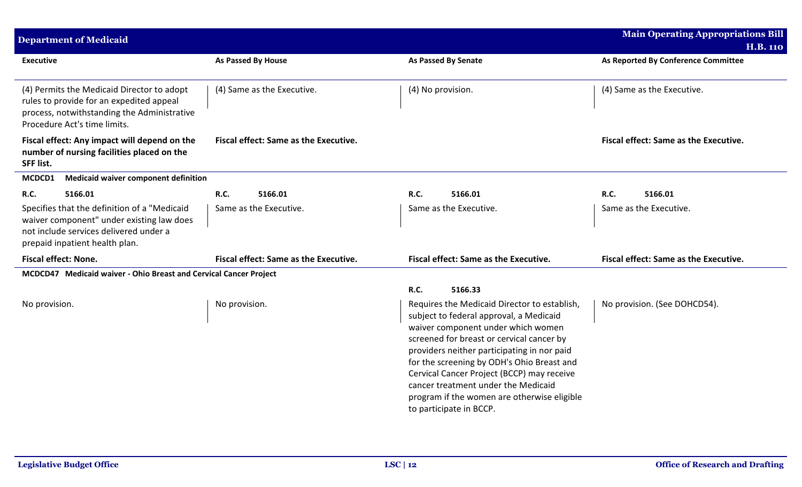| <b>Department of Medicaid</b>                                                                                                                                         |                                              |                                                                                                                                                                                                                                                                                                                                                                                                                                        | <b>Main Operating Appropriations Bill</b><br><b>H.B. 110</b> |
|-----------------------------------------------------------------------------------------------------------------------------------------------------------------------|----------------------------------------------|----------------------------------------------------------------------------------------------------------------------------------------------------------------------------------------------------------------------------------------------------------------------------------------------------------------------------------------------------------------------------------------------------------------------------------------|--------------------------------------------------------------|
| <b>Executive</b>                                                                                                                                                      | As Passed By House                           | <b>As Passed By Senate</b>                                                                                                                                                                                                                                                                                                                                                                                                             | As Reported By Conference Committee                          |
| (4) Permits the Medicaid Director to adopt<br>rules to provide for an expedited appeal<br>process, notwithstanding the Administrative<br>Procedure Act's time limits. | (4) Same as the Executive.                   | (4) No provision.                                                                                                                                                                                                                                                                                                                                                                                                                      | (4) Same as the Executive.                                   |
| Fiscal effect: Any impact will depend on the<br>number of nursing facilities placed on the<br><b>SFF list.</b>                                                        | <b>Fiscal effect: Same as the Executive.</b> |                                                                                                                                                                                                                                                                                                                                                                                                                                        | <b>Fiscal effect: Same as the Executive.</b>                 |
| <b>Medicaid waiver component definition</b><br>MCDCD1                                                                                                                 |                                              |                                                                                                                                                                                                                                                                                                                                                                                                                                        |                                                              |
| <b>R.C.</b><br>5166.01                                                                                                                                                | <b>R.C.</b><br>5166.01                       | R.C.<br>5166.01                                                                                                                                                                                                                                                                                                                                                                                                                        | R.C.<br>5166.01                                              |
| Specifies that the definition of a "Medicaid<br>waiver component" under existing law does<br>not include services delivered under a<br>prepaid inpatient health plan. | Same as the Executive.                       | Same as the Executive.                                                                                                                                                                                                                                                                                                                                                                                                                 | Same as the Executive.                                       |
| <b>Fiscal effect: None.</b>                                                                                                                                           | <b>Fiscal effect: Same as the Executive.</b> | <b>Fiscal effect: Same as the Executive.</b>                                                                                                                                                                                                                                                                                                                                                                                           | <b>Fiscal effect: Same as the Executive.</b>                 |
| MCDCD47 Medicaid waiver - Ohio Breast and Cervical Cancer Project                                                                                                     |                                              |                                                                                                                                                                                                                                                                                                                                                                                                                                        |                                                              |
|                                                                                                                                                                       |                                              | R.C.<br>5166.33                                                                                                                                                                                                                                                                                                                                                                                                                        |                                                              |
| No provision.                                                                                                                                                         | No provision.                                | Requires the Medicaid Director to establish,<br>subject to federal approval, a Medicaid<br>waiver component under which women<br>screened for breast or cervical cancer by<br>providers neither participating in nor paid<br>for the screening by ODH's Ohio Breast and<br>Cervical Cancer Project (BCCP) may receive<br>cancer treatment under the Medicaid<br>program if the women are otherwise eligible<br>to participate in BCCP. | No provision. (See DOHCD54).                                 |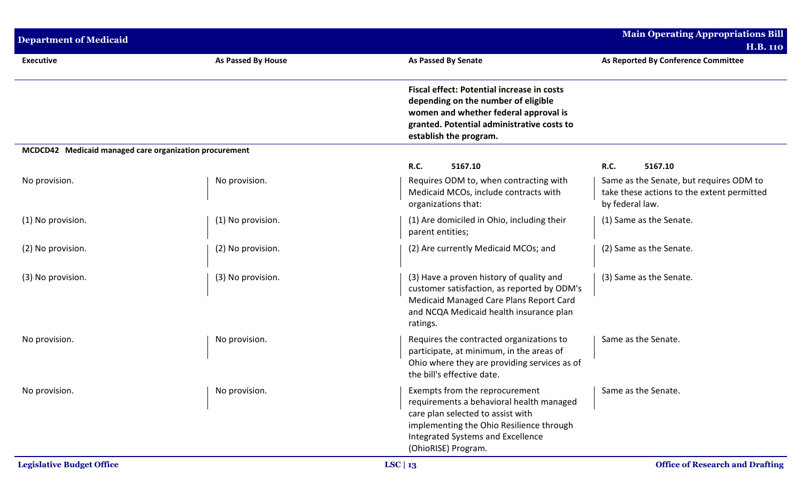| <b>Department of Medicaid</b>                          |                           |                                                                                                                                                                                                                         | <b>Main Operating Appropriations Bill</b>                                                                |
|--------------------------------------------------------|---------------------------|-------------------------------------------------------------------------------------------------------------------------------------------------------------------------------------------------------------------------|----------------------------------------------------------------------------------------------------------|
|                                                        |                           |                                                                                                                                                                                                                         | <b>H.B. 110</b>                                                                                          |
| <b>Executive</b>                                       | <b>As Passed By House</b> | <b>As Passed By Senate</b>                                                                                                                                                                                              | As Reported By Conference Committee                                                                      |
|                                                        |                           | <b>Fiscal effect: Potential increase in costs</b><br>depending on the number of eligible<br>women and whether federal approval is<br>granted. Potential administrative costs to<br>establish the program.               |                                                                                                          |
| MCDCD42 Medicaid managed care organization procurement |                           |                                                                                                                                                                                                                         |                                                                                                          |
|                                                        |                           | R.C.<br>5167.10                                                                                                                                                                                                         | R.C.<br>5167.10                                                                                          |
| No provision.                                          | No provision.             | Requires ODM to, when contracting with<br>Medicaid MCOs, include contracts with<br>organizations that:                                                                                                                  | Same as the Senate, but requires ODM to<br>take these actions to the extent permitted<br>by federal law. |
| (1) No provision.                                      | (1) No provision.         | (1) Are domiciled in Ohio, including their<br>parent entities;                                                                                                                                                          | (1) Same as the Senate.                                                                                  |
| (2) No provision.                                      | (2) No provision.         | (2) Are currently Medicaid MCOs; and                                                                                                                                                                                    | (2) Same as the Senate.                                                                                  |
| (3) No provision.                                      | (3) No provision.         | (3) Have a proven history of quality and<br>customer satisfaction, as reported by ODM's<br>Medicaid Managed Care Plans Report Card<br>and NCQA Medicaid health insurance plan<br>ratings.                               | (3) Same as the Senate.                                                                                  |
| No provision.                                          | No provision.             | Requires the contracted organizations to<br>participate, at minimum, in the areas of<br>Ohio where they are providing services as of<br>the bill's effective date.                                                      | Same as the Senate.                                                                                      |
| No provision.                                          | No provision.             | Exempts from the reprocurement<br>requirements a behavioral health managed<br>care plan selected to assist with<br>implementing the Ohio Resilience through<br>Integrated Systems and Excellence<br>(OhioRISE) Program. | Same as the Senate.                                                                                      |
| <b>Legislative Budget Office</b>                       |                           | LSC   $13$                                                                                                                                                                                                              | <b>Office of Research and Drafting</b>                                                                   |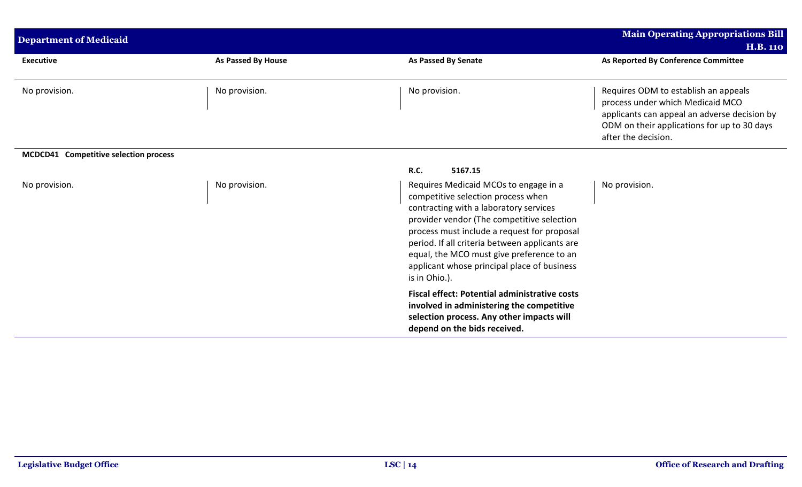| <b>Department of Medicaid</b>         |                    |                                                                                                                                                                                                                                                                                                                                                                                   | <b>Main Operating Appropriations Bill</b>                                                                                                                                                      |
|---------------------------------------|--------------------|-----------------------------------------------------------------------------------------------------------------------------------------------------------------------------------------------------------------------------------------------------------------------------------------------------------------------------------------------------------------------------------|------------------------------------------------------------------------------------------------------------------------------------------------------------------------------------------------|
|                                       |                    |                                                                                                                                                                                                                                                                                                                                                                                   | <b>H.B. 110</b>                                                                                                                                                                                |
| <b>Executive</b>                      | As Passed By House | <b>As Passed By Senate</b>                                                                                                                                                                                                                                                                                                                                                        | As Reported By Conference Committee                                                                                                                                                            |
| No provision.                         | No provision.      | No provision.                                                                                                                                                                                                                                                                                                                                                                     | Requires ODM to establish an appeals<br>process under which Medicaid MCO<br>applicants can appeal an adverse decision by<br>ODM on their applications for up to 30 days<br>after the decision. |
| MCDCD41 Competitive selection process |                    |                                                                                                                                                                                                                                                                                                                                                                                   |                                                                                                                                                                                                |
|                                       |                    | 5167.15<br><b>R.C.</b>                                                                                                                                                                                                                                                                                                                                                            |                                                                                                                                                                                                |
| No provision.                         | No provision.      | Requires Medicaid MCOs to engage in a<br>competitive selection process when<br>contracting with a laboratory services<br>provider vendor (The competitive selection<br>process must include a request for proposal<br>period. If all criteria between applicants are<br>equal, the MCO must give preference to an<br>applicant whose principal place of business<br>is in Ohio.). | No provision.                                                                                                                                                                                  |
|                                       |                    | <b>Fiscal effect: Potential administrative costs</b><br>involved in administering the competitive<br>selection process. Any other impacts will<br>depend on the bids received.                                                                                                                                                                                                    |                                                                                                                                                                                                |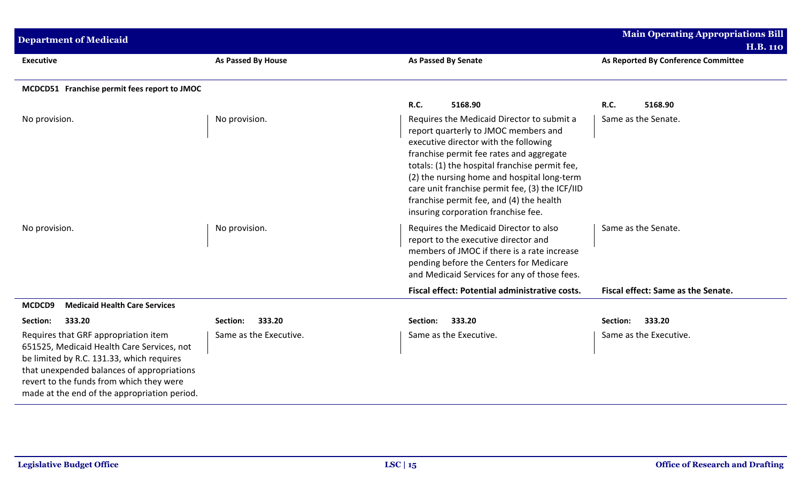| <b>Department of Medicaid</b>                                                                                                                                                                                                                                             |                           |                                                                                                                                                                                                                                                                                                                                                                                                                | <b>Main Operating Appropriations Bill</b><br><b>H.B. 110</b> |
|---------------------------------------------------------------------------------------------------------------------------------------------------------------------------------------------------------------------------------------------------------------------------|---------------------------|----------------------------------------------------------------------------------------------------------------------------------------------------------------------------------------------------------------------------------------------------------------------------------------------------------------------------------------------------------------------------------------------------------------|--------------------------------------------------------------|
| <b>Executive</b>                                                                                                                                                                                                                                                          | <b>As Passed By House</b> | <b>As Passed By Senate</b>                                                                                                                                                                                                                                                                                                                                                                                     | As Reported By Conference Committee                          |
| MCDCD51 Franchise permit fees report to JMOC                                                                                                                                                                                                                              |                           |                                                                                                                                                                                                                                                                                                                                                                                                                |                                                              |
|                                                                                                                                                                                                                                                                           |                           | <b>R.C.</b><br>5168.90                                                                                                                                                                                                                                                                                                                                                                                         | R.C.<br>5168.90                                              |
| No provision.                                                                                                                                                                                                                                                             | No provision.             | Requires the Medicaid Director to submit a<br>report quarterly to JMOC members and<br>executive director with the following<br>franchise permit fee rates and aggregate<br>totals: (1) the hospital franchise permit fee,<br>(2) the nursing home and hospital long-term<br>care unit franchise permit fee, (3) the ICF/IID<br>franchise permit fee, and (4) the health<br>insuring corporation franchise fee. | Same as the Senate.                                          |
| No provision.                                                                                                                                                                                                                                                             | No provision.             | Requires the Medicaid Director to also<br>report to the executive director and<br>members of JMOC if there is a rate increase<br>pending before the Centers for Medicare<br>and Medicaid Services for any of those fees.                                                                                                                                                                                       | Same as the Senate.                                          |
|                                                                                                                                                                                                                                                                           |                           | Fiscal effect: Potential administrative costs.                                                                                                                                                                                                                                                                                                                                                                 | Fiscal effect: Same as the Senate.                           |
| <b>Medicaid Health Care Services</b><br>MCDCD9                                                                                                                                                                                                                            |                           |                                                                                                                                                                                                                                                                                                                                                                                                                |                                                              |
| 333.20<br>Section:                                                                                                                                                                                                                                                        | 333.20<br>Section:        | 333.20<br>Section:                                                                                                                                                                                                                                                                                                                                                                                             | 333.20<br>Section:                                           |
| Requires that GRF appropriation item<br>651525, Medicaid Health Care Services, not<br>be limited by R.C. 131.33, which requires<br>that unexpended balances of appropriations<br>revert to the funds from which they were<br>made at the end of the appropriation period. | Same as the Executive.    | Same as the Executive.                                                                                                                                                                                                                                                                                                                                                                                         | Same as the Executive.                                       |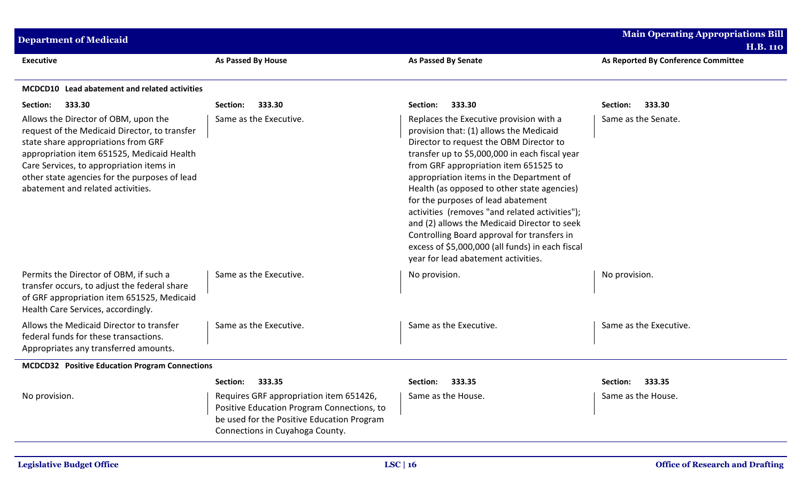| <b>Department of Medicaid</b>                                                                                                                                                                                                                                                                                |                                                                                                                                                                        |                                                                                                                                                                                                                                                                                                                                                                                                                                                                                                                                                                                                       | <b>Main Operating Appropriations Bill</b><br><b>H.B. 110</b> |
|--------------------------------------------------------------------------------------------------------------------------------------------------------------------------------------------------------------------------------------------------------------------------------------------------------------|------------------------------------------------------------------------------------------------------------------------------------------------------------------------|-------------------------------------------------------------------------------------------------------------------------------------------------------------------------------------------------------------------------------------------------------------------------------------------------------------------------------------------------------------------------------------------------------------------------------------------------------------------------------------------------------------------------------------------------------------------------------------------------------|--------------------------------------------------------------|
| <b>Executive</b>                                                                                                                                                                                                                                                                                             | As Passed By House                                                                                                                                                     | <b>As Passed By Senate</b>                                                                                                                                                                                                                                                                                                                                                                                                                                                                                                                                                                            | As Reported By Conference Committee                          |
| MCDCD10 Lead abatement and related activities                                                                                                                                                                                                                                                                |                                                                                                                                                                        |                                                                                                                                                                                                                                                                                                                                                                                                                                                                                                                                                                                                       |                                                              |
| 333.30<br>Section:                                                                                                                                                                                                                                                                                           | 333.30<br>Section:                                                                                                                                                     | 333.30<br>Section:                                                                                                                                                                                                                                                                                                                                                                                                                                                                                                                                                                                    | 333.30<br>Section:                                           |
| Allows the Director of OBM, upon the<br>request of the Medicaid Director, to transfer<br>state share appropriations from GRF<br>appropriation item 651525, Medicaid Health<br>Care Services, to appropriation items in<br>other state agencies for the purposes of lead<br>abatement and related activities. | Same as the Executive.                                                                                                                                                 | Replaces the Executive provision with a<br>provision that: (1) allows the Medicaid<br>Director to request the OBM Director to<br>transfer up to \$5,000,000 in each fiscal year<br>from GRF appropriation item 651525 to<br>appropriation items in the Department of<br>Health (as opposed to other state agencies)<br>for the purposes of lead abatement<br>activities (removes "and related activities");<br>and (2) allows the Medicaid Director to seek<br>Controlling Board approval for transfers in<br>excess of \$5,000,000 (all funds) in each fiscal<br>year for lead abatement activities. | Same as the Senate.                                          |
| Permits the Director of OBM, if such a<br>transfer occurs, to adjust the federal share<br>of GRF appropriation item 651525, Medicaid<br>Health Care Services, accordingly.                                                                                                                                   | Same as the Executive.                                                                                                                                                 | No provision.                                                                                                                                                                                                                                                                                                                                                                                                                                                                                                                                                                                         | No provision.                                                |
| Allows the Medicaid Director to transfer<br>federal funds for these transactions.<br>Appropriates any transferred amounts.                                                                                                                                                                                   | Same as the Executive.                                                                                                                                                 | Same as the Executive.                                                                                                                                                                                                                                                                                                                                                                                                                                                                                                                                                                                | Same as the Executive.                                       |
| <b>MCDCD32</b> Positive Education Program Connections                                                                                                                                                                                                                                                        |                                                                                                                                                                        |                                                                                                                                                                                                                                                                                                                                                                                                                                                                                                                                                                                                       |                                                              |
|                                                                                                                                                                                                                                                                                                              | Section:<br>333.35                                                                                                                                                     | Section:<br>333.35                                                                                                                                                                                                                                                                                                                                                                                                                                                                                                                                                                                    | Section:<br>333.35                                           |
| No provision.                                                                                                                                                                                                                                                                                                | Requires GRF appropriation item 651426,<br>Positive Education Program Connections, to<br>be used for the Positive Education Program<br>Connections in Cuyahoga County. | Same as the House.                                                                                                                                                                                                                                                                                                                                                                                                                                                                                                                                                                                    | Same as the House.                                           |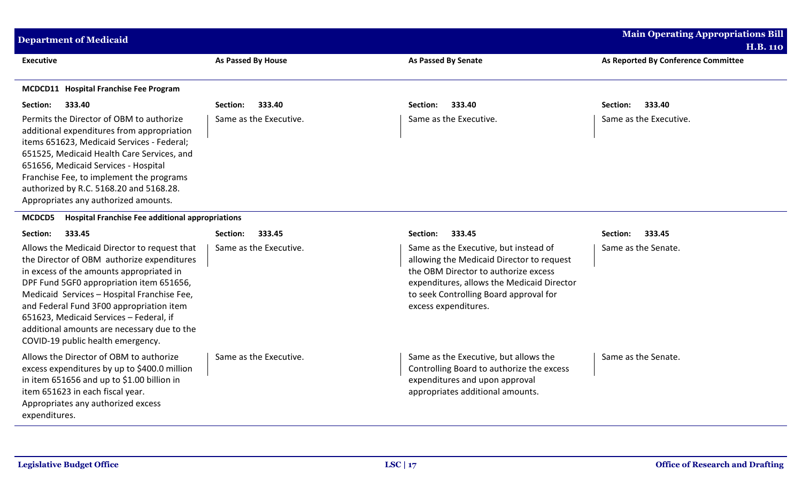| <b>Department of Medicaid</b>                                                                                                                                                                                                                                                                                                                                                                                |                        |                                                                                                                                                                                                                                            | <b>Main Operating Appropriations Bill</b><br><b>H.B. 110</b> |
|--------------------------------------------------------------------------------------------------------------------------------------------------------------------------------------------------------------------------------------------------------------------------------------------------------------------------------------------------------------------------------------------------------------|------------------------|--------------------------------------------------------------------------------------------------------------------------------------------------------------------------------------------------------------------------------------------|--------------------------------------------------------------|
| Executive                                                                                                                                                                                                                                                                                                                                                                                                    | As Passed By House     | <b>As Passed By Senate</b>                                                                                                                                                                                                                 | As Reported By Conference Committee                          |
| MCDCD11 Hospital Franchise Fee Program                                                                                                                                                                                                                                                                                                                                                                       |                        |                                                                                                                                                                                                                                            |                                                              |
| Section:<br>333.40                                                                                                                                                                                                                                                                                                                                                                                           | 333.40<br>Section:     | Section:<br>333.40                                                                                                                                                                                                                         | Section:<br>333.40                                           |
| Permits the Director of OBM to authorize<br>additional expenditures from appropriation<br>items 651623, Medicaid Services - Federal;<br>651525, Medicaid Health Care Services, and<br>651656, Medicaid Services - Hospital<br>Franchise Fee, to implement the programs<br>authorized by R.C. 5168.20 and 5168.28.<br>Appropriates any authorized amounts.                                                    | Same as the Executive. | Same as the Executive.                                                                                                                                                                                                                     | Same as the Executive.                                       |
| <b>Hospital Franchise Fee additional appropriations</b><br>MCDCD5                                                                                                                                                                                                                                                                                                                                            |                        |                                                                                                                                                                                                                                            |                                                              |
| Section:<br>333.45                                                                                                                                                                                                                                                                                                                                                                                           | 333.45<br>Section:     | 333.45<br>Section:                                                                                                                                                                                                                         | Section:<br>333.45                                           |
| Allows the Medicaid Director to request that<br>the Director of OBM authorize expenditures<br>in excess of the amounts appropriated in<br>DPF Fund 5GF0 appropriation item 651656,<br>Medicaid Services - Hospital Franchise Fee,<br>and Federal Fund 3F00 appropriation item<br>651623, Medicaid Services - Federal, if<br>additional amounts are necessary due to the<br>COVID-19 public health emergency. | Same as the Executive. | Same as the Executive, but instead of<br>allowing the Medicaid Director to request<br>the OBM Director to authorize excess<br>expenditures, allows the Medicaid Director<br>to seek Controlling Board approval for<br>excess expenditures. | Same as the Senate.                                          |
| Allows the Director of OBM to authorize<br>excess expenditures by up to \$400.0 million<br>in item 651656 and up to \$1.00 billion in<br>item 651623 in each fiscal year.<br>Appropriates any authorized excess<br>expenditures.                                                                                                                                                                             | Same as the Executive. | Same as the Executive, but allows the<br>Controlling Board to authorize the excess<br>expenditures and upon approval<br>appropriates additional amounts.                                                                                   | Same as the Senate.                                          |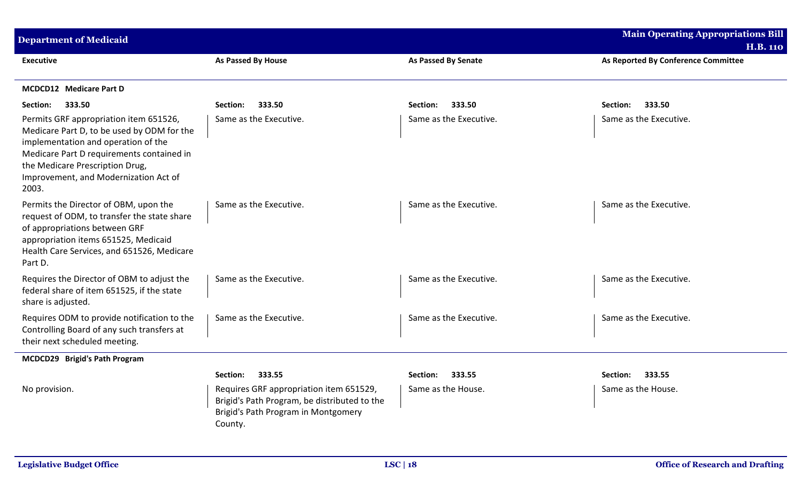| <b>Department of Medicaid</b>                                                                                                                                                                                                                                 |                                                                                                                                           |                        | <b>Main Operating Appropriations Bill</b> |
|---------------------------------------------------------------------------------------------------------------------------------------------------------------------------------------------------------------------------------------------------------------|-------------------------------------------------------------------------------------------------------------------------------------------|------------------------|-------------------------------------------|
|                                                                                                                                                                                                                                                               |                                                                                                                                           |                        | <b>H.B. 110</b>                           |
| <b>Executive</b>                                                                                                                                                                                                                                              | As Passed By House                                                                                                                        | As Passed By Senate    | As Reported By Conference Committee       |
| <b>MCDCD12</b> Medicare Part D                                                                                                                                                                                                                                |                                                                                                                                           |                        |                                           |
| 333.50<br>Section:                                                                                                                                                                                                                                            | 333.50<br>Section:                                                                                                                        | 333.50<br>Section:     | 333.50<br>Section:                        |
| Permits GRF appropriation item 651526,<br>Medicare Part D, to be used by ODM for the<br>implementation and operation of the<br>Medicare Part D requirements contained in<br>the Medicare Prescription Drug,<br>Improvement, and Modernization Act of<br>2003. | Same as the Executive.                                                                                                                    | Same as the Executive. | Same as the Executive.                    |
| Permits the Director of OBM, upon the<br>request of ODM, to transfer the state share<br>of appropriations between GRF<br>appropriation items 651525, Medicaid<br>Health Care Services, and 651526, Medicare<br>Part D.                                        | Same as the Executive.                                                                                                                    | Same as the Executive. | Same as the Executive.                    |
| Requires the Director of OBM to adjust the<br>federal share of item 651525, if the state<br>share is adjusted.                                                                                                                                                | Same as the Executive.                                                                                                                    | Same as the Executive. | Same as the Executive.                    |
| Requires ODM to provide notification to the<br>Controlling Board of any such transfers at<br>their next scheduled meeting.                                                                                                                                    | Same as the Executive.                                                                                                                    | Same as the Executive. | Same as the Executive.                    |
| MCDCD29 Brigid's Path Program                                                                                                                                                                                                                                 |                                                                                                                                           |                        |                                           |
|                                                                                                                                                                                                                                                               | 333.55<br>Section:                                                                                                                        | Section:<br>333.55     | Section:<br>333.55                        |
| No provision.                                                                                                                                                                                                                                                 | Requires GRF appropriation item 651529,<br>Brigid's Path Program, be distributed to the<br>Brigid's Path Program in Montgomery<br>County. | Same as the House.     | Same as the House.                        |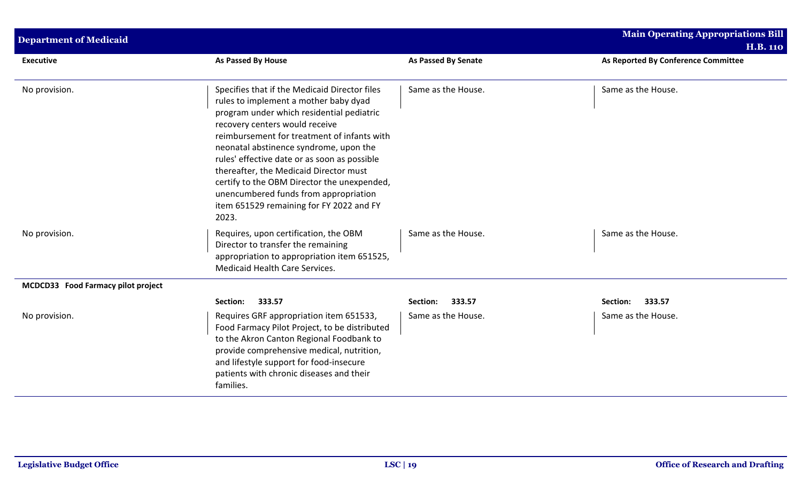| <b>Department of Medicaid</b>      |                                                                                                                                                                                                                                                                                                                                                                                                                                                                                                       |                            | <b>Main Operating Appropriations Bill</b><br><b>H.B. 110</b> |
|------------------------------------|-------------------------------------------------------------------------------------------------------------------------------------------------------------------------------------------------------------------------------------------------------------------------------------------------------------------------------------------------------------------------------------------------------------------------------------------------------------------------------------------------------|----------------------------|--------------------------------------------------------------|
| <b>Executive</b>                   | <b>As Passed By House</b>                                                                                                                                                                                                                                                                                                                                                                                                                                                                             | <b>As Passed By Senate</b> | As Reported By Conference Committee                          |
| No provision.                      | Specifies that if the Medicaid Director files<br>rules to implement a mother baby dyad<br>program under which residential pediatric<br>recovery centers would receive<br>reimbursement for treatment of infants with<br>neonatal abstinence syndrome, upon the<br>rules' effective date or as soon as possible<br>thereafter, the Medicaid Director must<br>certify to the OBM Director the unexpended,<br>unencumbered funds from appropriation<br>item 651529 remaining for FY 2022 and FY<br>2023. | Same as the House.         | Same as the House.                                           |
| No provision.                      | Requires, upon certification, the OBM<br>Director to transfer the remaining<br>appropriation to appropriation item 651525,<br>Medicaid Health Care Services.                                                                                                                                                                                                                                                                                                                                          | Same as the House.         | Same as the House.                                           |
| MCDCD33 Food Farmacy pilot project |                                                                                                                                                                                                                                                                                                                                                                                                                                                                                                       |                            |                                                              |
|                                    | 333.57<br>Section:                                                                                                                                                                                                                                                                                                                                                                                                                                                                                    | 333.57<br>Section:         | 333.57<br>Section:                                           |
| No provision.                      | Requires GRF appropriation item 651533,<br>Food Farmacy Pilot Project, to be distributed<br>to the Akron Canton Regional Foodbank to<br>provide comprehensive medical, nutrition,<br>and lifestyle support for food-insecure<br>patients with chronic diseases and their<br>families.                                                                                                                                                                                                                 | Same as the House.         | Same as the House.                                           |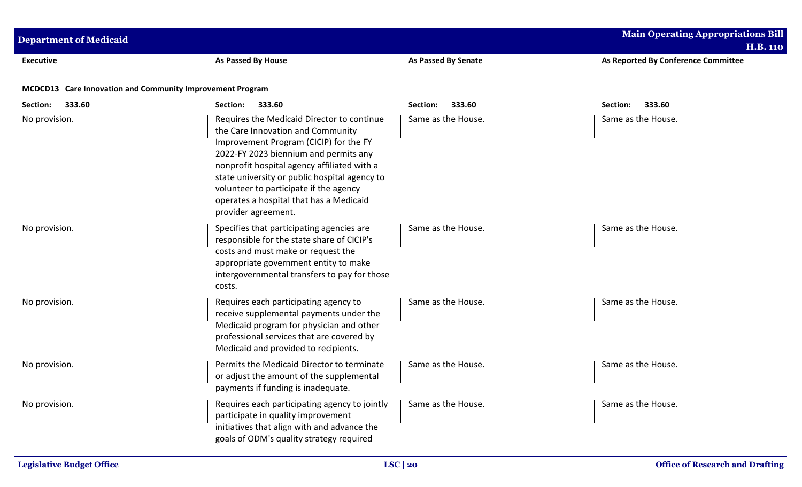| <b>Department of Medicaid</b>                             |                                                                                                                                                                                                                                                                                                                                                                                |                            | <b>Main Operating Appropriations Bill</b><br><b>H.B. 110</b> |
|-----------------------------------------------------------|--------------------------------------------------------------------------------------------------------------------------------------------------------------------------------------------------------------------------------------------------------------------------------------------------------------------------------------------------------------------------------|----------------------------|--------------------------------------------------------------|
| <b>Executive</b>                                          | As Passed By House                                                                                                                                                                                                                                                                                                                                                             | <b>As Passed By Senate</b> | As Reported By Conference Committee                          |
| MCDCD13 Care Innovation and Community Improvement Program |                                                                                                                                                                                                                                                                                                                                                                                |                            |                                                              |
| Section:<br>333.60                                        | Section:<br>333.60                                                                                                                                                                                                                                                                                                                                                             | Section:<br>333.60         | Section:<br>333.60                                           |
| No provision.                                             | Requires the Medicaid Director to continue<br>the Care Innovation and Community<br>Improvement Program (CICIP) for the FY<br>2022-FY 2023 biennium and permits any<br>nonprofit hospital agency affiliated with a<br>state university or public hospital agency to<br>volunteer to participate if the agency<br>operates a hospital that has a Medicaid<br>provider agreement. | Same as the House.         | Same as the House.                                           |
| No provision.                                             | Specifies that participating agencies are<br>responsible for the state share of CICIP's<br>costs and must make or request the<br>appropriate government entity to make<br>intergovernmental transfers to pay for those<br>costs.                                                                                                                                               | Same as the House.         | Same as the House.                                           |
| No provision.                                             | Requires each participating agency to<br>receive supplemental payments under the<br>Medicaid program for physician and other<br>professional services that are covered by<br>Medicaid and provided to recipients.                                                                                                                                                              | Same as the House.         | Same as the House.                                           |
| No provision.                                             | Permits the Medicaid Director to terminate<br>or adjust the amount of the supplemental<br>payments if funding is inadequate.                                                                                                                                                                                                                                                   | Same as the House.         | Same as the House.                                           |
| No provision.                                             | Requires each participating agency to jointly<br>participate in quality improvement<br>initiatives that align with and advance the<br>goals of ODM's quality strategy required                                                                                                                                                                                                 | Same as the House.         | Same as the House.                                           |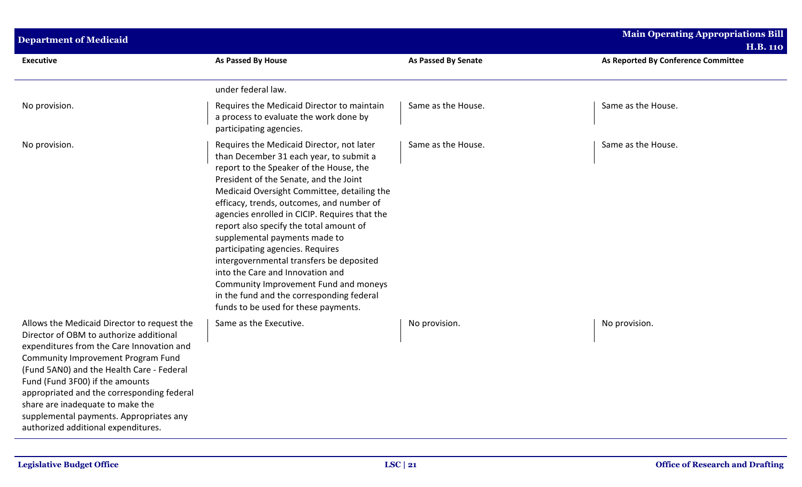| <b>Department of Medicaid</b>                                                                                                                                                                                                                                                                                                                                                                                                 |                                                                                                                                                                                                                                                                                                                                                                                                                                                                                                                                                                                                                                                      |                            | Main Operating Appropriations Bill<br><b>H.B. 110</b> |
|-------------------------------------------------------------------------------------------------------------------------------------------------------------------------------------------------------------------------------------------------------------------------------------------------------------------------------------------------------------------------------------------------------------------------------|------------------------------------------------------------------------------------------------------------------------------------------------------------------------------------------------------------------------------------------------------------------------------------------------------------------------------------------------------------------------------------------------------------------------------------------------------------------------------------------------------------------------------------------------------------------------------------------------------------------------------------------------------|----------------------------|-------------------------------------------------------|
| <b>Executive</b>                                                                                                                                                                                                                                                                                                                                                                                                              | As Passed By House                                                                                                                                                                                                                                                                                                                                                                                                                                                                                                                                                                                                                                   | <b>As Passed By Senate</b> | As Reported By Conference Committee                   |
|                                                                                                                                                                                                                                                                                                                                                                                                                               | under federal law.                                                                                                                                                                                                                                                                                                                                                                                                                                                                                                                                                                                                                                   |                            |                                                       |
| No provision.                                                                                                                                                                                                                                                                                                                                                                                                                 | Requires the Medicaid Director to maintain<br>a process to evaluate the work done by<br>participating agencies.                                                                                                                                                                                                                                                                                                                                                                                                                                                                                                                                      | Same as the House.         | Same as the House.                                    |
| No provision.                                                                                                                                                                                                                                                                                                                                                                                                                 | Requires the Medicaid Director, not later<br>than December 31 each year, to submit a<br>report to the Speaker of the House, the<br>President of the Senate, and the Joint<br>Medicaid Oversight Committee, detailing the<br>efficacy, trends, outcomes, and number of<br>agencies enrolled in CICIP. Requires that the<br>report also specify the total amount of<br>supplemental payments made to<br>participating agencies. Requires<br>intergovernmental transfers be deposited<br>into the Care and Innovation and<br>Community Improvement Fund and moneys<br>in the fund and the corresponding federal<br>funds to be used for these payments. | Same as the House.         | Same as the House.                                    |
| Allows the Medicaid Director to request the<br>Director of OBM to authorize additional<br>expenditures from the Care Innovation and<br>Community Improvement Program Fund<br>(Fund 5AN0) and the Health Care - Federal<br>Fund (Fund 3F00) if the amounts<br>appropriated and the corresponding federal<br>share are inadequate to make the<br>supplemental payments. Appropriates any<br>authorized additional expenditures. | Same as the Executive.                                                                                                                                                                                                                                                                                                                                                                                                                                                                                                                                                                                                                               | No provision.              | No provision.                                         |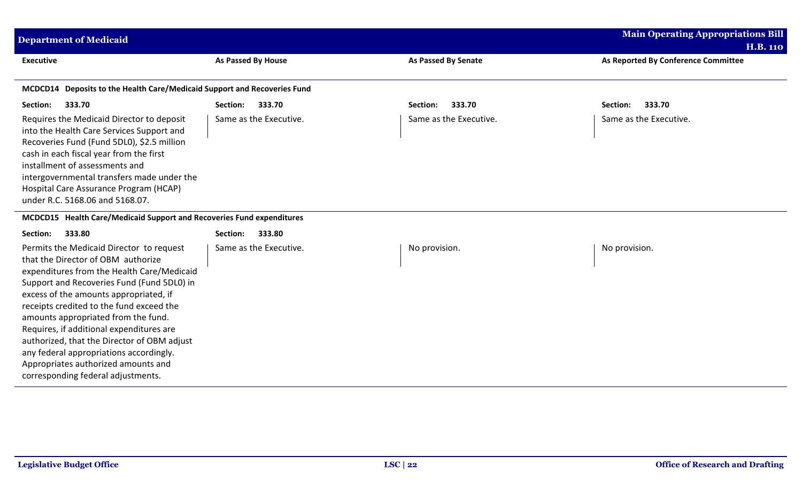| <b>Department of Medicaid</b>                                                                                                                                                                                                                                                                                                                                                                                                                                                                                              |                           |                            | <b>Main Operating Appropriations Bill</b><br><b>H.B. 110</b> |
|----------------------------------------------------------------------------------------------------------------------------------------------------------------------------------------------------------------------------------------------------------------------------------------------------------------------------------------------------------------------------------------------------------------------------------------------------------------------------------------------------------------------------|---------------------------|----------------------------|--------------------------------------------------------------|
| <b>Executive</b>                                                                                                                                                                                                                                                                                                                                                                                                                                                                                                           | <b>As Passed By House</b> | <b>As Passed By Senate</b> | As Reported By Conference Committee                          |
| MCDCD14 Deposits to the Health Care/Medicaid Support and Recoveries Fund                                                                                                                                                                                                                                                                                                                                                                                                                                                   |                           |                            |                                                              |
| 333.70<br>Section:                                                                                                                                                                                                                                                                                                                                                                                                                                                                                                         | Section:<br>333.70        | 333.70<br>Section:         | 333.70<br>Section:                                           |
| Requires the Medicaid Director to deposit<br>into the Health Care Services Support and<br>Recoveries Fund (Fund 5DL0), \$2.5 million<br>cash in each fiscal year from the first<br>installment of assessments and<br>intergovernmental transfers made under the<br>Hospital Care Assurance Program (HCAP)<br>under R.C. 5168.06 and 5168.07.                                                                                                                                                                               | Same as the Executive.    | Same as the Executive.     | Same as the Executive.                                       |
| MCDCD15 Health Care/Medicaid Support and Recoveries Fund expenditures                                                                                                                                                                                                                                                                                                                                                                                                                                                      |                           |                            |                                                              |
| 333.80<br>Section:                                                                                                                                                                                                                                                                                                                                                                                                                                                                                                         | 333.80<br>Section:        |                            |                                                              |
| Permits the Medicaid Director to request<br>that the Director of OBM authorize<br>expenditures from the Health Care/Medicaid<br>Support and Recoveries Fund (Fund 5DL0) in<br>excess of the amounts appropriated, if<br>receipts credited to the fund exceed the<br>amounts appropriated from the fund.<br>Requires, if additional expenditures are<br>authorized, that the Director of OBM adjust<br>any federal appropriations accordingly.<br>Appropriates authorized amounts and<br>corresponding federal adjustments. | Same as the Executive.    | No provision.              | No provision.                                                |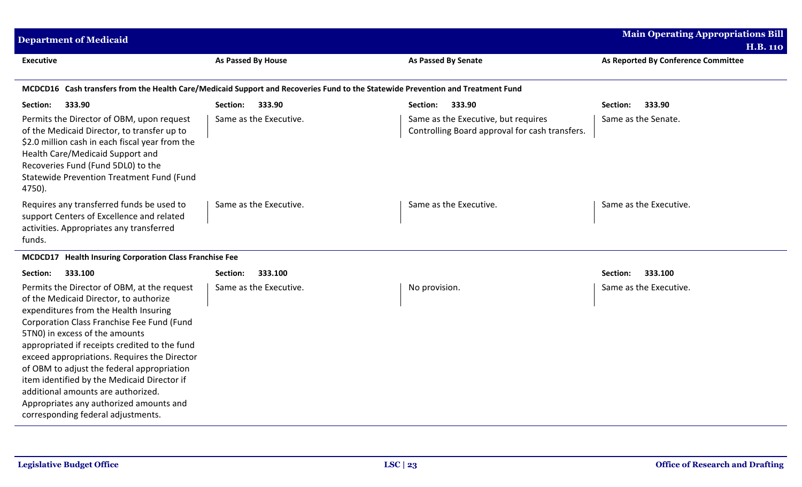| <b>Department of Medicaid</b>                                                                                                                                                                                                                                                                                                                                                                                                                                                                                                       |                        |                                                                                       | <b>Main Operating Appropriations Bill</b><br><b>H.B. 110</b> |
|-------------------------------------------------------------------------------------------------------------------------------------------------------------------------------------------------------------------------------------------------------------------------------------------------------------------------------------------------------------------------------------------------------------------------------------------------------------------------------------------------------------------------------------|------------------------|---------------------------------------------------------------------------------------|--------------------------------------------------------------|
| <b>Executive</b>                                                                                                                                                                                                                                                                                                                                                                                                                                                                                                                    | As Passed By House     | <b>As Passed By Senate</b>                                                            | As Reported By Conference Committee                          |
| MCDCD16 Cash transfers from the Health Care/Medicaid Support and Recoveries Fund to the Statewide Prevention and Treatment Fund                                                                                                                                                                                                                                                                                                                                                                                                     |                        |                                                                                       |                                                              |
| 333.90<br>Section:                                                                                                                                                                                                                                                                                                                                                                                                                                                                                                                  | Section:<br>333.90     | 333.90<br>Section:                                                                    | 333.90<br>Section:                                           |
| Permits the Director of OBM, upon request<br>of the Medicaid Director, to transfer up to<br>\$2.0 million cash in each fiscal year from the<br>Health Care/Medicaid Support and<br>Recoveries Fund (Fund 5DL0) to the<br>Statewide Prevention Treatment Fund (Fund<br>4750).                                                                                                                                                                                                                                                        | Same as the Executive. | Same as the Executive, but requires<br>Controlling Board approval for cash transfers. | Same as the Senate.                                          |
| Requires any transferred funds be used to<br>support Centers of Excellence and related<br>activities. Appropriates any transferred<br>funds.                                                                                                                                                                                                                                                                                                                                                                                        | Same as the Executive. | Same as the Executive.                                                                | Same as the Executive.                                       |
| MCDCD17 Health Insuring Corporation Class Franchise Fee                                                                                                                                                                                                                                                                                                                                                                                                                                                                             |                        |                                                                                       |                                                              |
| 333.100<br>Section:                                                                                                                                                                                                                                                                                                                                                                                                                                                                                                                 | Section:<br>333.100    |                                                                                       | Section:<br>333.100                                          |
| Permits the Director of OBM, at the request<br>of the Medicaid Director, to authorize<br>expenditures from the Health Insuring<br>Corporation Class Franchise Fee Fund (Fund<br>5TN0) in excess of the amounts<br>appropriated if receipts credited to the fund<br>exceed appropriations. Requires the Director<br>of OBM to adjust the federal appropriation<br>item identified by the Medicaid Director if<br>additional amounts are authorized.<br>Appropriates any authorized amounts and<br>corresponding federal adjustments. | Same as the Executive. | No provision.                                                                         | Same as the Executive.                                       |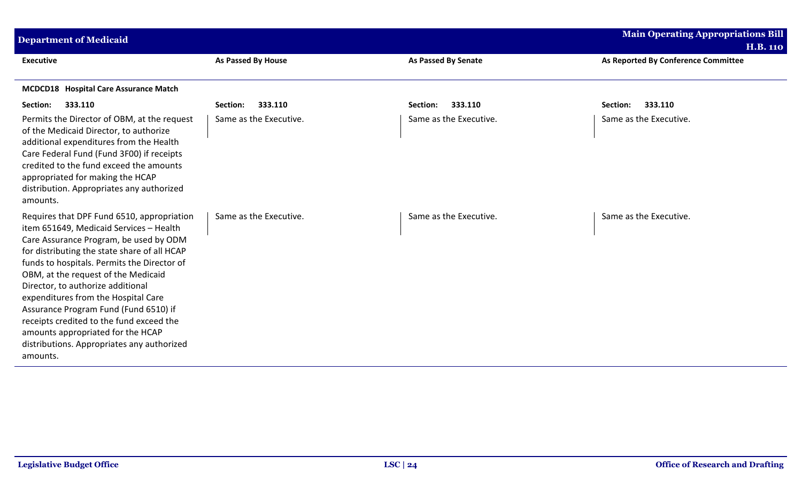| <b>Department of Medicaid</b>                                                                                                                                                                                                                                                                                                                                                                                                                                                                                                         |                           |                            | <b>Main Operating Appropriations Bill</b> |
|---------------------------------------------------------------------------------------------------------------------------------------------------------------------------------------------------------------------------------------------------------------------------------------------------------------------------------------------------------------------------------------------------------------------------------------------------------------------------------------------------------------------------------------|---------------------------|----------------------------|-------------------------------------------|
|                                                                                                                                                                                                                                                                                                                                                                                                                                                                                                                                       |                           |                            | <b>H.B. 110</b>                           |
| <b>Executive</b>                                                                                                                                                                                                                                                                                                                                                                                                                                                                                                                      | <b>As Passed By House</b> | <b>As Passed By Senate</b> | As Reported By Conference Committee       |
| MCDCD18 Hospital Care Assurance Match                                                                                                                                                                                                                                                                                                                                                                                                                                                                                                 |                           |                            |                                           |
| 333.110<br>Section:                                                                                                                                                                                                                                                                                                                                                                                                                                                                                                                   | 333.110<br>Section:       | 333.110<br>Section:        | 333.110<br>Section:                       |
| Permits the Director of OBM, at the request<br>of the Medicaid Director, to authorize<br>additional expenditures from the Health<br>Care Federal Fund (Fund 3F00) if receipts<br>credited to the fund exceed the amounts<br>appropriated for making the HCAP<br>distribution. Appropriates any authorized<br>amounts.                                                                                                                                                                                                                 | Same as the Executive.    | Same as the Executive.     | Same as the Executive.                    |
| Requires that DPF Fund 6510, appropriation<br>item 651649, Medicaid Services - Health<br>Care Assurance Program, be used by ODM<br>for distributing the state share of all HCAP<br>funds to hospitals. Permits the Director of<br>OBM, at the request of the Medicaid<br>Director, to authorize additional<br>expenditures from the Hospital Care<br>Assurance Program Fund (Fund 6510) if<br>receipts credited to the fund exceed the<br>amounts appropriated for the HCAP<br>distributions. Appropriates any authorized<br>amounts. | Same as the Executive.    | Same as the Executive.     | Same as the Executive.                    |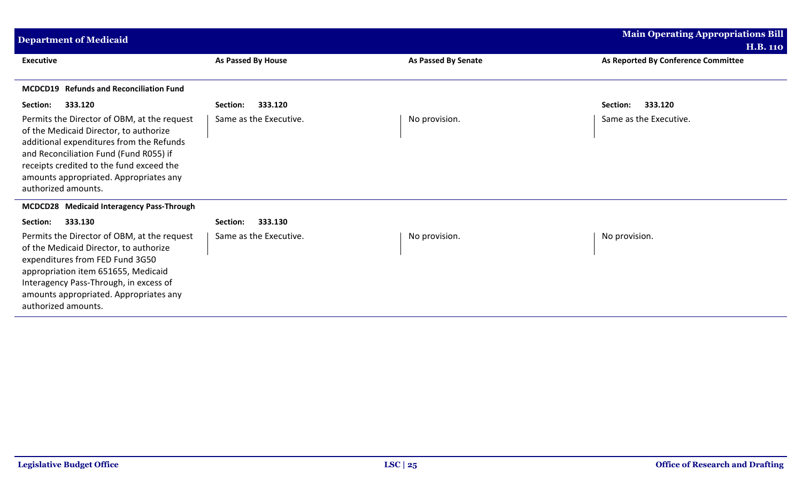| <b>Department of Medicaid</b>                                                                                                                                                                                                                                                                                   |                                               |                            | <b>Main Operating Appropriations Bill</b>              |
|-----------------------------------------------------------------------------------------------------------------------------------------------------------------------------------------------------------------------------------------------------------------------------------------------------------------|-----------------------------------------------|----------------------------|--------------------------------------------------------|
| <b>Executive</b>                                                                                                                                                                                                                                                                                                | As Passed By House                            | <b>As Passed By Senate</b> | <b>H.B. 110</b><br>As Reported By Conference Committee |
| MCDCD19 Refunds and Reconciliation Fund                                                                                                                                                                                                                                                                         |                                               |                            |                                                        |
| Section:<br>333.120<br>Permits the Director of OBM, at the request<br>of the Medicaid Director, to authorize<br>additional expenditures from the Refunds<br>and Reconciliation Fund (Fund R055) if<br>receipts credited to the fund exceed the<br>amounts appropriated. Appropriates any<br>authorized amounts. | 333.120<br>Section:<br>Same as the Executive. | No provision.              | 333.120<br>Section:<br>Same as the Executive.          |
| MCDCD28 Medicaid Interagency Pass-Through                                                                                                                                                                                                                                                                       |                                               |                            |                                                        |
| Section:<br>333.130                                                                                                                                                                                                                                                                                             | 333.130<br>Section:                           |                            |                                                        |
| Permits the Director of OBM, at the request<br>of the Medicaid Director, to authorize<br>expenditures from FED Fund 3G50<br>appropriation item 651655, Medicaid<br>Interagency Pass-Through, in excess of<br>amounts appropriated. Appropriates any<br>authorized amounts.                                      | Same as the Executive.                        | No provision.              | No provision.                                          |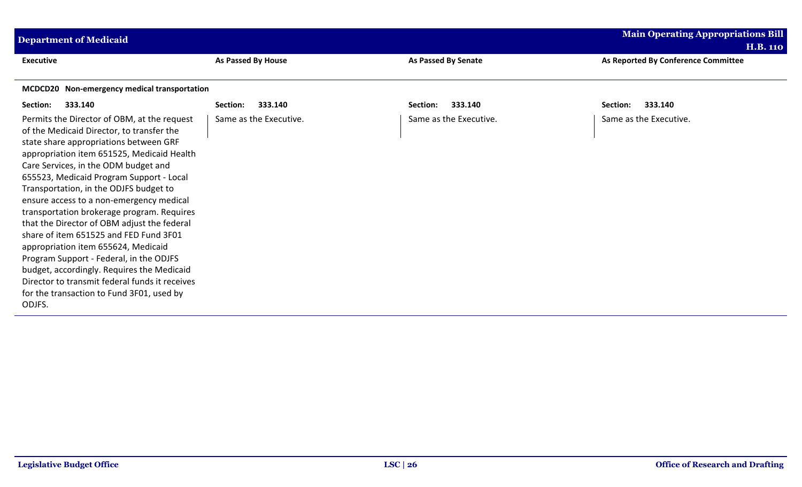| <b>Department of Medicaid</b>                                                                                                                                                                                                                                                                                                                                                                            |                        |                        | <b>Main Operating Appropriations Bill</b> |
|----------------------------------------------------------------------------------------------------------------------------------------------------------------------------------------------------------------------------------------------------------------------------------------------------------------------------------------------------------------------------------------------------------|------------------------|------------------------|-------------------------------------------|
|                                                                                                                                                                                                                                                                                                                                                                                                          |                        |                        | <b>H.B. 110</b>                           |
| <b>Executive</b>                                                                                                                                                                                                                                                                                                                                                                                         | As Passed By House     | As Passed By Senate    | As Reported By Conference Committee       |
|                                                                                                                                                                                                                                                                                                                                                                                                          |                        |                        |                                           |
| MCDCD20 Non-emergency medical transportation                                                                                                                                                                                                                                                                                                                                                             |                        |                        |                                           |
| 333.140<br>Section:                                                                                                                                                                                                                                                                                                                                                                                      | 333.140<br>Section:    | 333.140<br>Section:    | 333.140<br>Section:                       |
| Permits the Director of OBM, at the request<br>of the Medicaid Director, to transfer the<br>state share appropriations between GRF<br>appropriation item 651525, Medicaid Health<br>Care Services, in the ODM budget and<br>655523, Medicaid Program Support - Local<br>Transportation, in the ODJFS budget to<br>ensure access to a non-emergency medical<br>transportation brokerage program. Requires | Same as the Executive. | Same as the Executive. | Same as the Executive.                    |
| that the Director of OBM adjust the federal<br>share of item 651525 and FED Fund 3F01<br>appropriation item 655624, Medicaid                                                                                                                                                                                                                                                                             |                        |                        |                                           |
| Program Support - Federal, in the ODJFS<br>budget, accordingly. Requires the Medicaid<br>Director to transmit federal funds it receives                                                                                                                                                                                                                                                                  |                        |                        |                                           |
| for the transaction to Fund 3F01, used by<br>ODJFS.                                                                                                                                                                                                                                                                                                                                                      |                        |                        |                                           |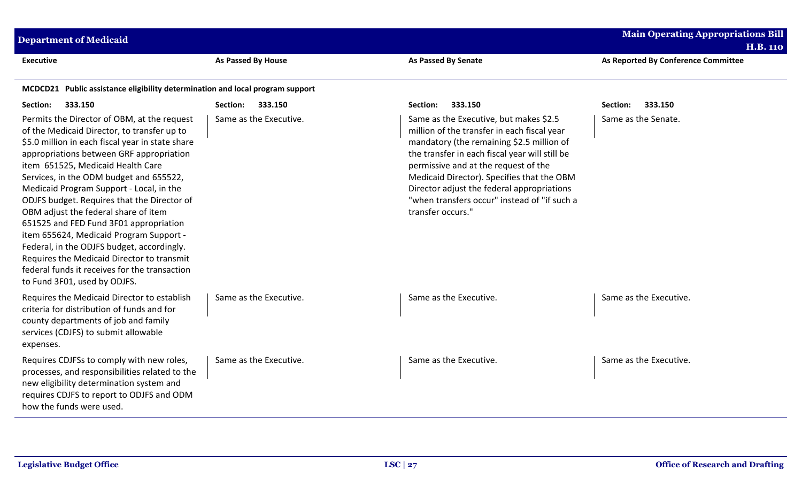| <b>Main Operating Appropriations Bill</b><br><b>Department of Medicaid</b><br><b>H.B. 110</b>                                                                                                                                                                                                                                                                                                                                                                                                                                                                                                                                                                                   |                           |                                                                                                                                                                                                                                                                                                                                                                                               |                                     |  |
|---------------------------------------------------------------------------------------------------------------------------------------------------------------------------------------------------------------------------------------------------------------------------------------------------------------------------------------------------------------------------------------------------------------------------------------------------------------------------------------------------------------------------------------------------------------------------------------------------------------------------------------------------------------------------------|---------------------------|-----------------------------------------------------------------------------------------------------------------------------------------------------------------------------------------------------------------------------------------------------------------------------------------------------------------------------------------------------------------------------------------------|-------------------------------------|--|
| <b>Executive</b>                                                                                                                                                                                                                                                                                                                                                                                                                                                                                                                                                                                                                                                                | <b>As Passed By House</b> | <b>As Passed By Senate</b>                                                                                                                                                                                                                                                                                                                                                                    | As Reported By Conference Committee |  |
| MCDCD21 Public assistance eligibility determination and local program support                                                                                                                                                                                                                                                                                                                                                                                                                                                                                                                                                                                                   |                           |                                                                                                                                                                                                                                                                                                                                                                                               |                                     |  |
| Section:<br>333.150                                                                                                                                                                                                                                                                                                                                                                                                                                                                                                                                                                                                                                                             | Section: 333.150          | Section:<br>333.150                                                                                                                                                                                                                                                                                                                                                                           | 333.150<br>Section:                 |  |
| Permits the Director of OBM, at the request<br>of the Medicaid Director, to transfer up to<br>\$5.0 million in each fiscal year in state share<br>appropriations between GRF appropriation<br>item 651525, Medicaid Health Care<br>Services, in the ODM budget and 655522,<br>Medicaid Program Support - Local, in the<br>ODJFS budget. Requires that the Director of<br>OBM adjust the federal share of item<br>651525 and FED Fund 3F01 appropriation<br>item 655624, Medicaid Program Support -<br>Federal, in the ODJFS budget, accordingly.<br>Requires the Medicaid Director to transmit<br>federal funds it receives for the transaction<br>to Fund 3F01, used by ODJFS. | Same as the Executive.    | Same as the Executive, but makes \$2.5<br>million of the transfer in each fiscal year<br>mandatory (the remaining \$2.5 million of<br>the transfer in each fiscal year will still be<br>permissive and at the request of the<br>Medicaid Director). Specifies that the OBM<br>Director adjust the federal appropriations<br>"when transfers occur" instead of "if such a<br>transfer occurs." | Same as the Senate.                 |  |
| Requires the Medicaid Director to establish<br>criteria for distribution of funds and for<br>county departments of job and family<br>services (CDJFS) to submit allowable<br>expenses.                                                                                                                                                                                                                                                                                                                                                                                                                                                                                          | Same as the Executive.    | Same as the Executive.                                                                                                                                                                                                                                                                                                                                                                        | Same as the Executive.              |  |
| Requires CDJFSs to comply with new roles,<br>processes, and responsibilities related to the<br>new eligibility determination system and<br>requires CDJFS to report to ODJFS and ODM<br>how the funds were used.                                                                                                                                                                                                                                                                                                                                                                                                                                                                | Same as the Executive.    | Same as the Executive.                                                                                                                                                                                                                                                                                                                                                                        | Same as the Executive.              |  |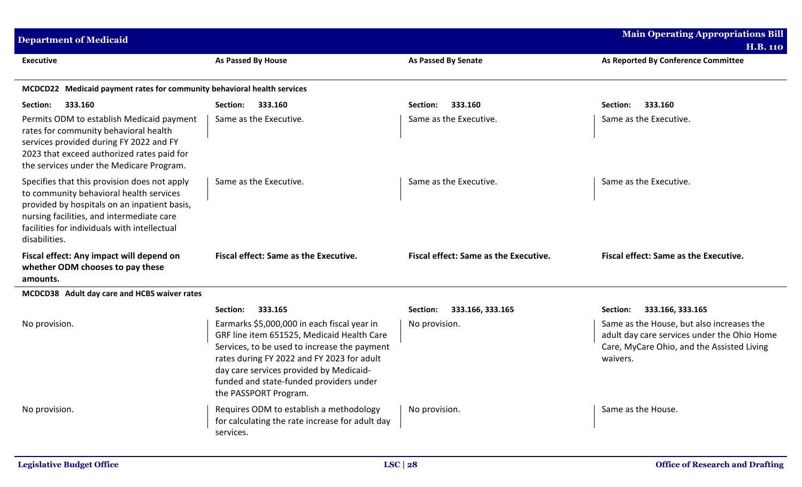| <b>Department of Medicaid</b>                                                                                                                                                                                                                         |                                                                                                                                                                                                                                                                                                        |                                       | <b>Main Operating Appropriations Bill</b><br><b>H.B. 110</b>                                                                                       |
|-------------------------------------------------------------------------------------------------------------------------------------------------------------------------------------------------------------------------------------------------------|--------------------------------------------------------------------------------------------------------------------------------------------------------------------------------------------------------------------------------------------------------------------------------------------------------|---------------------------------------|----------------------------------------------------------------------------------------------------------------------------------------------------|
| <b>Executive</b>                                                                                                                                                                                                                                      | <b>As Passed By House</b>                                                                                                                                                                                                                                                                              | <b>As Passed By Senate</b>            | As Reported By Conference Committee                                                                                                                |
| MCDCD22 Medicaid payment rates for community behavioral health services                                                                                                                                                                               |                                                                                                                                                                                                                                                                                                        |                                       |                                                                                                                                                    |
| 333.160<br>Section:                                                                                                                                                                                                                                   | 333.160<br>Section:                                                                                                                                                                                                                                                                                    | 333.160<br>Section:                   | Section:<br>333.160                                                                                                                                |
| Permits ODM to establish Medicaid payment<br>rates for community behavioral health<br>services provided during FY 2022 and FY<br>2023 that exceed authorized rates paid for<br>the services under the Medicare Program.                               | Same as the Executive.                                                                                                                                                                                                                                                                                 | Same as the Executive.                | Same as the Executive.                                                                                                                             |
| Specifies that this provision does not apply<br>to community behavioral health services<br>provided by hospitals on an inpatient basis,<br>nursing facilities, and intermediate care<br>facilities for individuals with intellectual<br>disabilities. | Same as the Executive.                                                                                                                                                                                                                                                                                 | Same as the Executive.                | Same as the Executive.                                                                                                                             |
| Fiscal effect: Any impact will depend on<br>whether ODM chooses to pay these<br>amounts.                                                                                                                                                              | <b>Fiscal effect: Same as the Executive.</b>                                                                                                                                                                                                                                                           | Fiscal effect: Same as the Executive. | Fiscal effect: Same as the Executive.                                                                                                              |
| MCDCD38 Adult day care and HCBS waiver rates                                                                                                                                                                                                          |                                                                                                                                                                                                                                                                                                        |                                       |                                                                                                                                                    |
|                                                                                                                                                                                                                                                       | 333.165<br>Section:                                                                                                                                                                                                                                                                                    | 333.166, 333.165<br>Section:          | Section:<br>333.166, 333.165                                                                                                                       |
| No provision.                                                                                                                                                                                                                                         | Earmarks \$5,000,000 in each fiscal year in<br>GRF line item 651525, Medicaid Health Care<br>Services, to be used to increase the payment<br>rates during FY 2022 and FY 2023 for adult<br>day care services provided by Medicaid-<br>funded and state-funded providers under<br>the PASSPORT Program. | No provision.                         | Same as the House, but also increases the<br>adult day care services under the Ohio Home<br>Care, MyCare Ohio, and the Assisted Living<br>waivers. |
| No provision.                                                                                                                                                                                                                                         | Requires ODM to establish a methodology<br>for calculating the rate increase for adult day<br>services.                                                                                                                                                                                                | No provision.                         | Same as the House.                                                                                                                                 |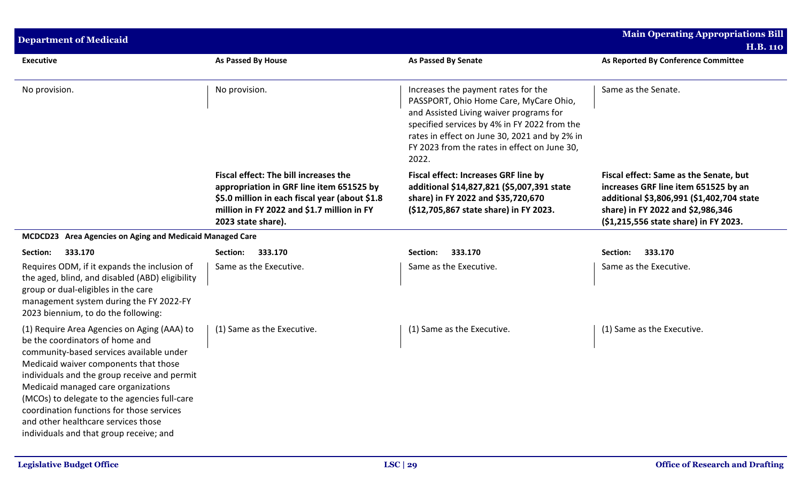| <b>Department of Medicaid</b>                                                                                                                                                                                                                                                                                                                                                                                                             |                                                                                                                                                                                                         |                                                                                                                                                                                                                                                                                    | <b>Main Operating Appropriations Bill</b>                                                                                                                                                                 |
|-------------------------------------------------------------------------------------------------------------------------------------------------------------------------------------------------------------------------------------------------------------------------------------------------------------------------------------------------------------------------------------------------------------------------------------------|---------------------------------------------------------------------------------------------------------------------------------------------------------------------------------------------------------|------------------------------------------------------------------------------------------------------------------------------------------------------------------------------------------------------------------------------------------------------------------------------------|-----------------------------------------------------------------------------------------------------------------------------------------------------------------------------------------------------------|
|                                                                                                                                                                                                                                                                                                                                                                                                                                           |                                                                                                                                                                                                         |                                                                                                                                                                                                                                                                                    | <b>H.B. 110</b>                                                                                                                                                                                           |
| <b>Executive</b>                                                                                                                                                                                                                                                                                                                                                                                                                          | As Passed By House                                                                                                                                                                                      | <b>As Passed By Senate</b>                                                                                                                                                                                                                                                         | As Reported By Conference Committee                                                                                                                                                                       |
| No provision.                                                                                                                                                                                                                                                                                                                                                                                                                             | No provision.                                                                                                                                                                                           | Increases the payment rates for the<br>PASSPORT, Ohio Home Care, MyCare Ohio,<br>and Assisted Living waiver programs for<br>specified services by 4% in FY 2022 from the<br>rates in effect on June 30, 2021 and by 2% in<br>FY 2023 from the rates in effect on June 30,<br>2022. | Same as the Senate.                                                                                                                                                                                       |
|                                                                                                                                                                                                                                                                                                                                                                                                                                           | Fiscal effect: The bill increases the<br>appropriation in GRF line item 651525 by<br>\$5.0 million in each fiscal year (about \$1.8<br>million in FY 2022 and \$1.7 million in FY<br>2023 state share). | <b>Fiscal effect: Increases GRF line by</b><br>additional \$14,827,821 (\$5,007,391 state<br>share) in FY 2022 and \$35,720,670<br>(\$12,705,867 state share) in FY 2023.                                                                                                          | Fiscal effect: Same as the Senate, but<br>increases GRF line item 651525 by an<br>additional \$3,806,991 (\$1,402,704 state<br>share) in FY 2022 and \$2,986,346<br>(\$1,215,556 state share) in FY 2023. |
| MCDCD23 Area Agencies on Aging and Medicaid Managed Care                                                                                                                                                                                                                                                                                                                                                                                  |                                                                                                                                                                                                         |                                                                                                                                                                                                                                                                                    |                                                                                                                                                                                                           |
| 333.170<br>Section:                                                                                                                                                                                                                                                                                                                                                                                                                       | 333.170<br>Section:                                                                                                                                                                                     | 333.170<br>Section:                                                                                                                                                                                                                                                                | Section:<br>333.170                                                                                                                                                                                       |
| Requires ODM, if it expands the inclusion of<br>the aged, blind, and disabled (ABD) eligibility<br>group or dual-eligibles in the care<br>management system during the FY 2022-FY<br>2023 biennium, to do the following:                                                                                                                                                                                                                  | Same as the Executive.                                                                                                                                                                                  | Same as the Executive.                                                                                                                                                                                                                                                             | Same as the Executive.                                                                                                                                                                                    |
| (1) Require Area Agencies on Aging (AAA) to<br>be the coordinators of home and<br>community-based services available under<br>Medicaid waiver components that those<br>individuals and the group receive and permit<br>Medicaid managed care organizations<br>(MCOs) to delegate to the agencies full-care<br>coordination functions for those services<br>and other healthcare services those<br>individuals and that group receive; and | (1) Same as the Executive.                                                                                                                                                                              | (1) Same as the Executive.                                                                                                                                                                                                                                                         | (1) Same as the Executive.                                                                                                                                                                                |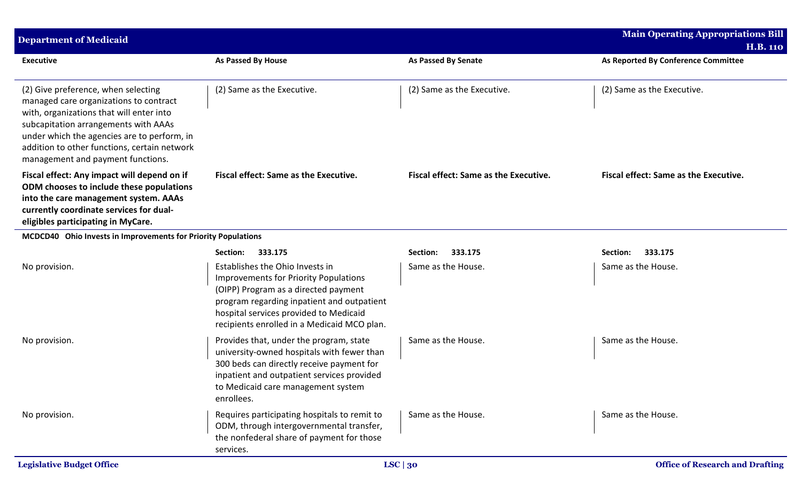| <b>Department of Medicaid</b>                                                                                                                                                                                                                                                                         |                                                                                                                                                                                                                                                         |                                              | <b>Main Operating Appropriations Bill</b> |
|-------------------------------------------------------------------------------------------------------------------------------------------------------------------------------------------------------------------------------------------------------------------------------------------------------|---------------------------------------------------------------------------------------------------------------------------------------------------------------------------------------------------------------------------------------------------------|----------------------------------------------|-------------------------------------------|
|                                                                                                                                                                                                                                                                                                       |                                                                                                                                                                                                                                                         |                                              | <b>H.B. 110</b>                           |
| <b>Executive</b>                                                                                                                                                                                                                                                                                      | <b>As Passed By House</b>                                                                                                                                                                                                                               | <b>As Passed By Senate</b>                   | As Reported By Conference Committee       |
| (2) Give preference, when selecting<br>managed care organizations to contract<br>with, organizations that will enter into<br>subcapitation arrangements with AAAs<br>under which the agencies are to perform, in<br>addition to other functions, certain network<br>management and payment functions. | (2) Same as the Executive.                                                                                                                                                                                                                              | (2) Same as the Executive.                   | (2) Same as the Executive.                |
| Fiscal effect: Any impact will depend on if<br>ODM chooses to include these populations<br>into the care management system. AAAs<br>currently coordinate services for dual-<br>eligibles participating in MyCare.                                                                                     | Fiscal effect: Same as the Executive.                                                                                                                                                                                                                   | <b>Fiscal effect: Same as the Executive.</b> | Fiscal effect: Same as the Executive.     |
| MCDCD40 Ohio Invests in Improvements for Priority Populations                                                                                                                                                                                                                                         |                                                                                                                                                                                                                                                         |                                              |                                           |
|                                                                                                                                                                                                                                                                                                       | 333.175<br>Section:                                                                                                                                                                                                                                     | 333.175<br>Section:                          | 333.175<br>Section:                       |
| No provision.                                                                                                                                                                                                                                                                                         | Establishes the Ohio Invests in<br>Improvements for Priority Populations<br>(OIPP) Program as a directed payment<br>program regarding inpatient and outpatient<br>hospital services provided to Medicaid<br>recipients enrolled in a Medicaid MCO plan. | Same as the House.                           | Same as the House.                        |
| No provision.                                                                                                                                                                                                                                                                                         | Provides that, under the program, state<br>university-owned hospitals with fewer than<br>300 beds can directly receive payment for<br>inpatient and outpatient services provided<br>to Medicaid care management system<br>enrollees.                    | Same as the House.                           | Same as the House.                        |
| No provision.                                                                                                                                                                                                                                                                                         | Requires participating hospitals to remit to<br>ODM, through intergovernmental transfer,<br>the nonfederal share of payment for those<br>services.                                                                                                      | Same as the House.                           | Same as the House.                        |
| <b>Legislative Budget Office</b>                                                                                                                                                                                                                                                                      |                                                                                                                                                                                                                                                         | LSC   30                                     | <b>Office of Research and Drafting</b>    |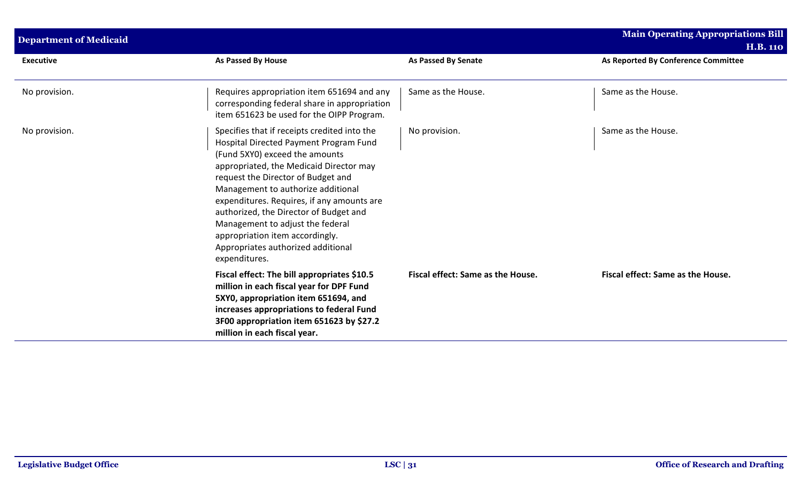| <b>Department of Medicaid</b> |                                                                                                                                                                                                                                                                                                                                                                                                                                                                       |                                   | <b>Main Operating Appropriations Bill</b><br><b>H.B. 110</b> |
|-------------------------------|-----------------------------------------------------------------------------------------------------------------------------------------------------------------------------------------------------------------------------------------------------------------------------------------------------------------------------------------------------------------------------------------------------------------------------------------------------------------------|-----------------------------------|--------------------------------------------------------------|
| <b>Executive</b>              | <b>As Passed By House</b>                                                                                                                                                                                                                                                                                                                                                                                                                                             | As Passed By Senate               | As Reported By Conference Committee                          |
| No provision.                 | Requires appropriation item 651694 and any<br>corresponding federal share in appropriation<br>item 651623 be used for the OIPP Program.                                                                                                                                                                                                                                                                                                                               | Same as the House.                | Same as the House.                                           |
| No provision.                 | Specifies that if receipts credited into the<br>Hospital Directed Payment Program Fund<br>(Fund 5XY0) exceed the amounts<br>appropriated, the Medicaid Director may<br>request the Director of Budget and<br>Management to authorize additional<br>expenditures. Requires, if any amounts are<br>authorized, the Director of Budget and<br>Management to adjust the federal<br>appropriation item accordingly.<br>Appropriates authorized additional<br>expenditures. | No provision.                     | Same as the House.                                           |
|                               | Fiscal effect: The bill appropriates \$10.5<br>million in each fiscal year for DPF Fund<br>5XY0, appropriation item 651694, and<br>increases appropriations to federal Fund<br>3F00 appropriation item 651623 by \$27.2<br>million in each fiscal year.                                                                                                                                                                                                               | Fiscal effect: Same as the House. | Fiscal effect: Same as the House.                            |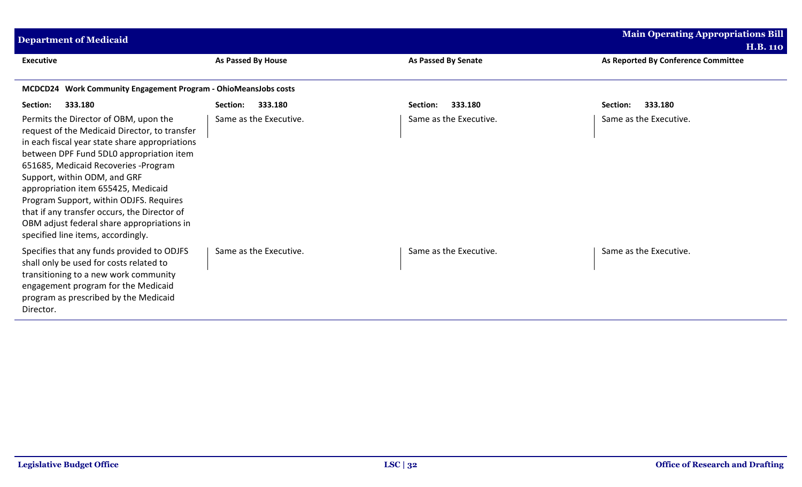| <b>Department of Medicaid</b>                                                                                                                                                                                                                                                                                                                                                                                                                                                      |                        |                            | <b>Main Operating Appropriations Bill</b> |
|------------------------------------------------------------------------------------------------------------------------------------------------------------------------------------------------------------------------------------------------------------------------------------------------------------------------------------------------------------------------------------------------------------------------------------------------------------------------------------|------------------------|----------------------------|-------------------------------------------|
|                                                                                                                                                                                                                                                                                                                                                                                                                                                                                    |                        |                            | <b>H.B. 110</b>                           |
| <b>Executive</b>                                                                                                                                                                                                                                                                                                                                                                                                                                                                   | As Passed By House     | <b>As Passed By Senate</b> | As Reported By Conference Committee       |
| MCDCD24 Work Community Engagement Program - OhioMeansJobs costs                                                                                                                                                                                                                                                                                                                                                                                                                    |                        |                            |                                           |
| 333.180<br>Section:                                                                                                                                                                                                                                                                                                                                                                                                                                                                | 333.180<br>Section:    | 333.180<br>Section:        | 333.180<br>Section:                       |
| Permits the Director of OBM, upon the<br>request of the Medicaid Director, to transfer<br>in each fiscal year state share appropriations<br>between DPF Fund 5DL0 appropriation item<br>651685, Medicaid Recoveries -Program<br>Support, within ODM, and GRF<br>appropriation item 655425, Medicaid<br>Program Support, within ODJFS. Requires<br>that if any transfer occurs, the Director of<br>OBM adjust federal share appropriations in<br>specified line items, accordingly. | Same as the Executive. | Same as the Executive.     | Same as the Executive.                    |
| Specifies that any funds provided to ODJFS<br>shall only be used for costs related to<br>transitioning to a new work community<br>engagement program for the Medicaid<br>program as prescribed by the Medicaid<br>Director.                                                                                                                                                                                                                                                        | Same as the Executive. | Same as the Executive.     | Same as the Executive.                    |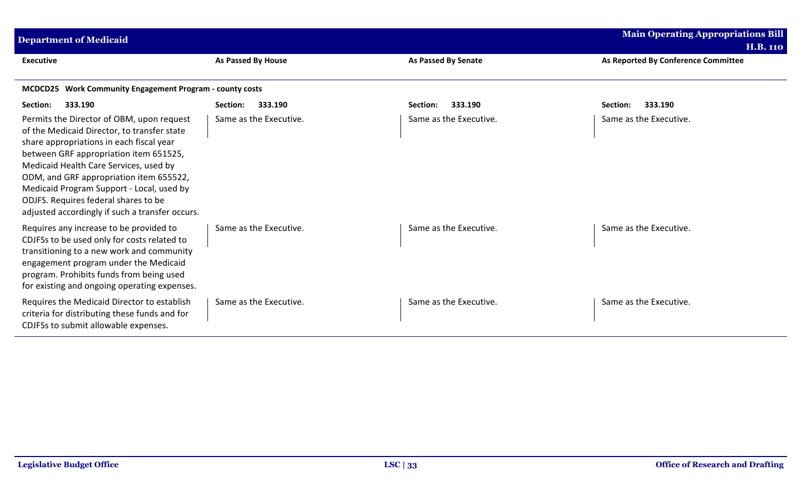| <b>Department of Medicaid</b>                                                                                                                                                                                                                                                                                                                                                                               |                        |                            | <b>Main Operating Appropriations Bill</b>              |
|-------------------------------------------------------------------------------------------------------------------------------------------------------------------------------------------------------------------------------------------------------------------------------------------------------------------------------------------------------------------------------------------------------------|------------------------|----------------------------|--------------------------------------------------------|
| <b>Executive</b>                                                                                                                                                                                                                                                                                                                                                                                            | As Passed By House     | <b>As Passed By Senate</b> | <b>H.B. 110</b><br>As Reported By Conference Committee |
| MCDCD25 Work Community Engagement Program - county costs                                                                                                                                                                                                                                                                                                                                                    |                        |                            |                                                        |
| Section:<br>333.190                                                                                                                                                                                                                                                                                                                                                                                         | 333.190<br>Section:    | 333.190<br>Section:        | Section:<br>333.190                                    |
| Permits the Director of OBM, upon request<br>of the Medicaid Director, to transfer state<br>share appropriations in each fiscal year<br>between GRF appropriation item 651525,<br>Medicaid Health Care Services, used by<br>ODM, and GRF appropriation item 655522,<br>Medicaid Program Support - Local, used by<br>ODJFS. Requires federal shares to be<br>adjusted accordingly if such a transfer occurs. | Same as the Executive. | Same as the Executive.     | Same as the Executive.                                 |
| Requires any increase to be provided to<br>CDJFSs to be used only for costs related to<br>transitioning to a new work and community<br>engagement program under the Medicaid<br>program. Prohibits funds from being used<br>for existing and ongoing operating expenses.                                                                                                                                    | Same as the Executive. | Same as the Executive.     | Same as the Executive.                                 |
| Requires the Medicaid Director to establish<br>criteria for distributing these funds and for<br>CDJFSs to submit allowable expenses.                                                                                                                                                                                                                                                                        | Same as the Executive. | Same as the Executive.     | Same as the Executive.                                 |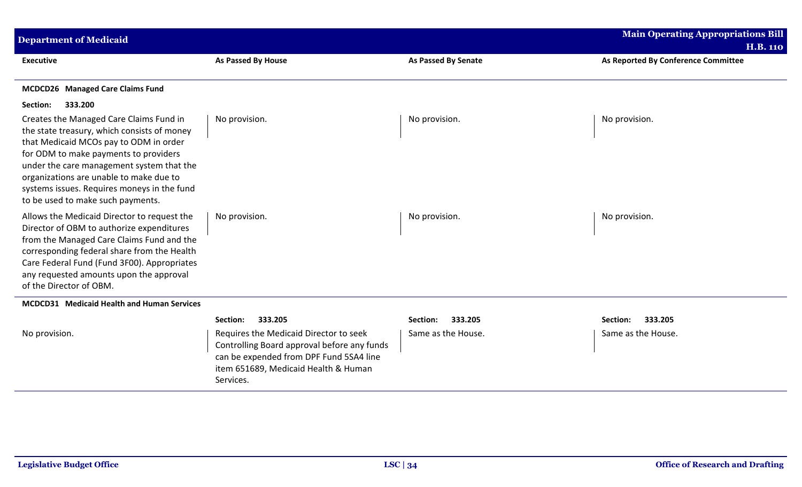| <b>Department of Medicaid</b>                                                                                                                                                                                                                                                                                                                         |                                                                                                                                                                                       |                            | <b>Main Operating Appropriations Bill</b> |
|-------------------------------------------------------------------------------------------------------------------------------------------------------------------------------------------------------------------------------------------------------------------------------------------------------------------------------------------------------|---------------------------------------------------------------------------------------------------------------------------------------------------------------------------------------|----------------------------|-------------------------------------------|
|                                                                                                                                                                                                                                                                                                                                                       |                                                                                                                                                                                       |                            | <b>H.B. 110</b>                           |
| <b>Executive</b>                                                                                                                                                                                                                                                                                                                                      | <b>As Passed By House</b>                                                                                                                                                             | <b>As Passed By Senate</b> | As Reported By Conference Committee       |
| MCDCD26 Managed Care Claims Fund                                                                                                                                                                                                                                                                                                                      |                                                                                                                                                                                       |                            |                                           |
| 333.200<br>Section:                                                                                                                                                                                                                                                                                                                                   |                                                                                                                                                                                       |                            |                                           |
| Creates the Managed Care Claims Fund in<br>the state treasury, which consists of money<br>that Medicaid MCOs pay to ODM in order<br>for ODM to make payments to providers<br>under the care management system that the<br>organizations are unable to make due to<br>systems issues. Requires moneys in the fund<br>to be used to make such payments. | No provision.                                                                                                                                                                         | No provision.              | No provision.                             |
| Allows the Medicaid Director to request the<br>Director of OBM to authorize expenditures<br>from the Managed Care Claims Fund and the<br>corresponding federal share from the Health<br>Care Federal Fund (Fund 3F00). Appropriates<br>any requested amounts upon the approval<br>of the Director of OBM.                                             | No provision.                                                                                                                                                                         | No provision.              | No provision.                             |
| MCDCD31 Medicaid Health and Human Services                                                                                                                                                                                                                                                                                                            |                                                                                                                                                                                       |                            |                                           |
|                                                                                                                                                                                                                                                                                                                                                       | 333.205<br>Section:                                                                                                                                                                   | 333.205<br>Section:        | 333.205<br>Section:                       |
| No provision.                                                                                                                                                                                                                                                                                                                                         | Requires the Medicaid Director to seek<br>Controlling Board approval before any funds<br>can be expended from DPF Fund 5SA4 line<br>item 651689, Medicaid Health & Human<br>Services. | Same as the House.         | Same as the House.                        |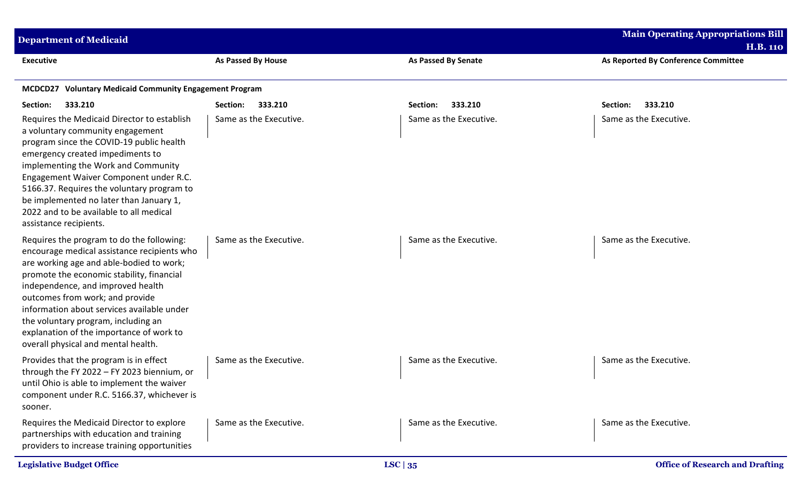| <b>Department of Medicaid</b>                                                                                                                                                                                                                                                                                                                                                                                                     |                           |                            | <b>Main Operating Appropriations Bill</b> |
|-----------------------------------------------------------------------------------------------------------------------------------------------------------------------------------------------------------------------------------------------------------------------------------------------------------------------------------------------------------------------------------------------------------------------------------|---------------------------|----------------------------|-------------------------------------------|
|                                                                                                                                                                                                                                                                                                                                                                                                                                   |                           |                            | <b>H.B. 110</b>                           |
| <b>Executive</b>                                                                                                                                                                                                                                                                                                                                                                                                                  | <b>As Passed By House</b> | <b>As Passed By Senate</b> | As Reported By Conference Committee       |
| MCDCD27 Voluntary Medicaid Community Engagement Program                                                                                                                                                                                                                                                                                                                                                                           |                           |                            |                                           |
| Section:<br>333.210                                                                                                                                                                                                                                                                                                                                                                                                               | 333.210<br>Section:       | 333.210<br>Section:        | 333.210<br>Section:                       |
| Requires the Medicaid Director to establish<br>a voluntary community engagement<br>program since the COVID-19 public health<br>emergency created impediments to<br>implementing the Work and Community<br>Engagement Waiver Component under R.C.<br>5166.37. Requires the voluntary program to<br>be implemented no later than January 1,<br>2022 and to be available to all medical<br>assistance recipients.                    | Same as the Executive.    | Same as the Executive.     | Same as the Executive.                    |
| Requires the program to do the following:<br>encourage medical assistance recipients who<br>are working age and able-bodied to work;<br>promote the economic stability, financial<br>independence, and improved health<br>outcomes from work; and provide<br>information about services available under<br>the voluntary program, including an<br>explanation of the importance of work to<br>overall physical and mental health. | Same as the Executive.    | Same as the Executive.     | Same as the Executive.                    |
| Provides that the program is in effect<br>through the FY 2022 - FY 2023 biennium, or<br>until Ohio is able to implement the waiver<br>component under R.C. 5166.37, whichever is<br>sooner.                                                                                                                                                                                                                                       | Same as the Executive.    | Same as the Executive.     | Same as the Executive.                    |
| Requires the Medicaid Director to explore<br>partnerships with education and training<br>providers to increase training opportunities                                                                                                                                                                                                                                                                                             | Same as the Executive.    | Same as the Executive.     | Same as the Executive.                    |
| <b>Legislative Budget Office</b>                                                                                                                                                                                                                                                                                                                                                                                                  |                           | LSC $ 35$                  | <b>Office of Research and Drafting</b>    |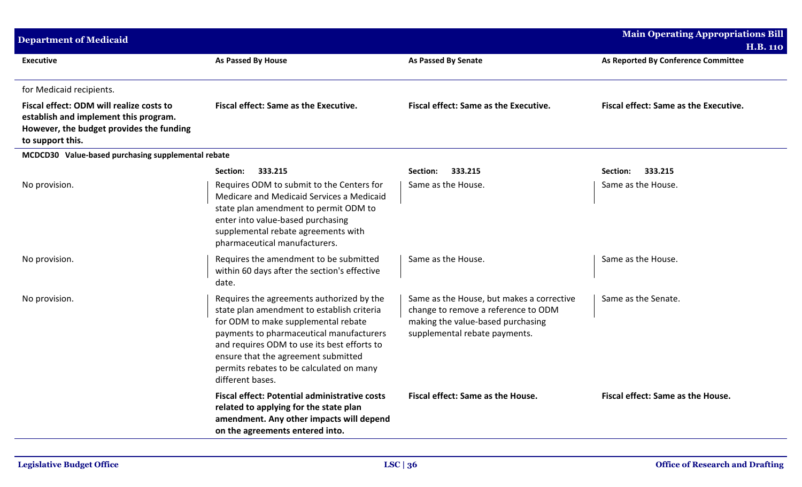| <b>Department of Medicaid</b>                                                                                                                     |                                                                                                                                                                                                                                                                                                                                  |                                                                                                                                                        | <b>Main Operating Appropriations Bill</b>    |
|---------------------------------------------------------------------------------------------------------------------------------------------------|----------------------------------------------------------------------------------------------------------------------------------------------------------------------------------------------------------------------------------------------------------------------------------------------------------------------------------|--------------------------------------------------------------------------------------------------------------------------------------------------------|----------------------------------------------|
|                                                                                                                                                   |                                                                                                                                                                                                                                                                                                                                  |                                                                                                                                                        | <b>H.B. 110</b>                              |
| <b>Executive</b>                                                                                                                                  | As Passed By House                                                                                                                                                                                                                                                                                                               | <b>As Passed By Senate</b>                                                                                                                             | As Reported By Conference Committee          |
| for Medicaid recipients.                                                                                                                          |                                                                                                                                                                                                                                                                                                                                  |                                                                                                                                                        |                                              |
| Fiscal effect: ODM will realize costs to<br>establish and implement this program.<br>However, the budget provides the funding<br>to support this. | <b>Fiscal effect: Same as the Executive.</b>                                                                                                                                                                                                                                                                                     | <b>Fiscal effect: Same as the Executive.</b>                                                                                                           | <b>Fiscal effect: Same as the Executive.</b> |
| MCDCD30 Value-based purchasing supplemental rebate                                                                                                |                                                                                                                                                                                                                                                                                                                                  |                                                                                                                                                        |                                              |
|                                                                                                                                                   | 333.215<br>Section:                                                                                                                                                                                                                                                                                                              | 333.215<br>Section:                                                                                                                                    | 333.215<br>Section:                          |
| No provision.                                                                                                                                     | Requires ODM to submit to the Centers for<br>Medicare and Medicaid Services a Medicaid<br>state plan amendment to permit ODM to<br>enter into value-based purchasing<br>supplemental rebate agreements with<br>pharmaceutical manufacturers.                                                                                     | Same as the House.                                                                                                                                     | Same as the House.                           |
| No provision.                                                                                                                                     | Requires the amendment to be submitted<br>within 60 days after the section's effective<br>date.                                                                                                                                                                                                                                  | Same as the House.                                                                                                                                     | Same as the House.                           |
| No provision.                                                                                                                                     | Requires the agreements authorized by the<br>state plan amendment to establish criteria<br>for ODM to make supplemental rebate<br>payments to pharmaceutical manufacturers<br>and requires ODM to use its best efforts to<br>ensure that the agreement submitted<br>permits rebates to be calculated on many<br>different bases. | Same as the House, but makes a corrective<br>change to remove a reference to ODM<br>making the value-based purchasing<br>supplemental rebate payments. | Same as the Senate.                          |
|                                                                                                                                                   | <b>Fiscal effect: Potential administrative costs</b><br>related to applying for the state plan<br>amendment. Any other impacts will depend<br>on the agreements entered into.                                                                                                                                                    | Fiscal effect: Same as the House.                                                                                                                      | Fiscal effect: Same as the House.            |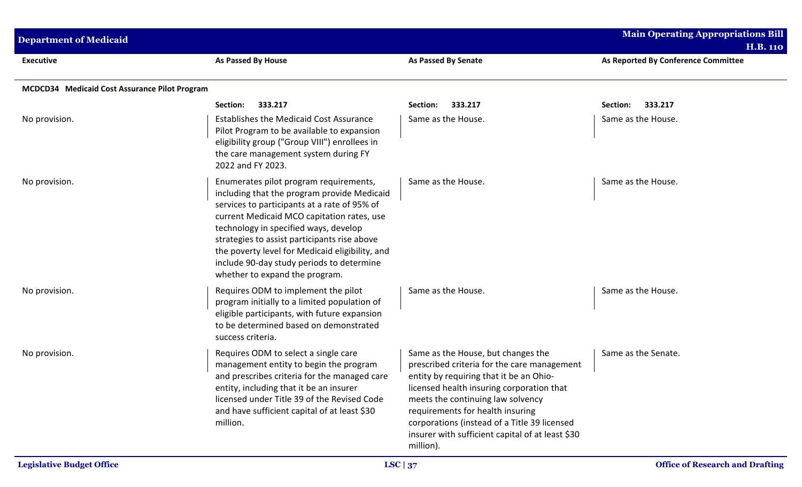| <b>Department of Medicaid</b>                 |                                                                                                                                                                                                                                                                                                                                                                                                                |                                                                                                                                                                                                                                                                                                                                                                     | <b>Main Operating Appropriations Bill</b><br><b>H.B. 110</b> |
|-----------------------------------------------|----------------------------------------------------------------------------------------------------------------------------------------------------------------------------------------------------------------------------------------------------------------------------------------------------------------------------------------------------------------------------------------------------------------|---------------------------------------------------------------------------------------------------------------------------------------------------------------------------------------------------------------------------------------------------------------------------------------------------------------------------------------------------------------------|--------------------------------------------------------------|
| <b>Executive</b>                              | <b>As Passed By House</b>                                                                                                                                                                                                                                                                                                                                                                                      | <b>As Passed By Senate</b>                                                                                                                                                                                                                                                                                                                                          | As Reported By Conference Committee                          |
| MCDCD34 Medicaid Cost Assurance Pilot Program |                                                                                                                                                                                                                                                                                                                                                                                                                |                                                                                                                                                                                                                                                                                                                                                                     |                                                              |
|                                               | Section:<br>333.217                                                                                                                                                                                                                                                                                                                                                                                            | 333.217<br>Section:                                                                                                                                                                                                                                                                                                                                                 | Section:<br>333.217                                          |
| No provision.                                 | <b>Establishes the Medicaid Cost Assurance</b><br>Pilot Program to be available to expansion<br>eligibility group ("Group VIII") enrollees in<br>the care management system during FY<br>2022 and FY 2023.                                                                                                                                                                                                     | Same as the House.                                                                                                                                                                                                                                                                                                                                                  | Same as the House.                                           |
| No provision.                                 | Enumerates pilot program requirements,<br>including that the program provide Medicaid<br>services to participants at a rate of 95% of<br>current Medicaid MCO capitation rates, use<br>technology in specified ways, develop<br>strategies to assist participants rise above<br>the poverty level for Medicaid eligibility, and<br>include 90-day study periods to determine<br>whether to expand the program. | Same as the House.                                                                                                                                                                                                                                                                                                                                                  | Same as the House.                                           |
| No provision.                                 | Requires ODM to implement the pilot<br>program initially to a limited population of<br>eligible participants, with future expansion<br>to be determined based on demonstrated<br>success criteria.                                                                                                                                                                                                             | Same as the House.                                                                                                                                                                                                                                                                                                                                                  | Same as the House.                                           |
| No provision.                                 | Requires ODM to select a single care<br>management entity to begin the program<br>and prescribes criteria for the managed care<br>entity, including that it be an insurer<br>licensed under Title 39 of the Revised Code<br>and have sufficient capital of at least \$30<br>million.                                                                                                                           | Same as the House, but changes the<br>prescribed criteria for the care management<br>entity by requiring that it be an Ohio-<br>licensed health insuring corporation that<br>meets the continuing law solvency<br>requirements for health insuring<br>corporations (instead of a Title 39 licensed<br>insurer with sufficient capital of at least \$30<br>million). | Same as the Senate.                                          |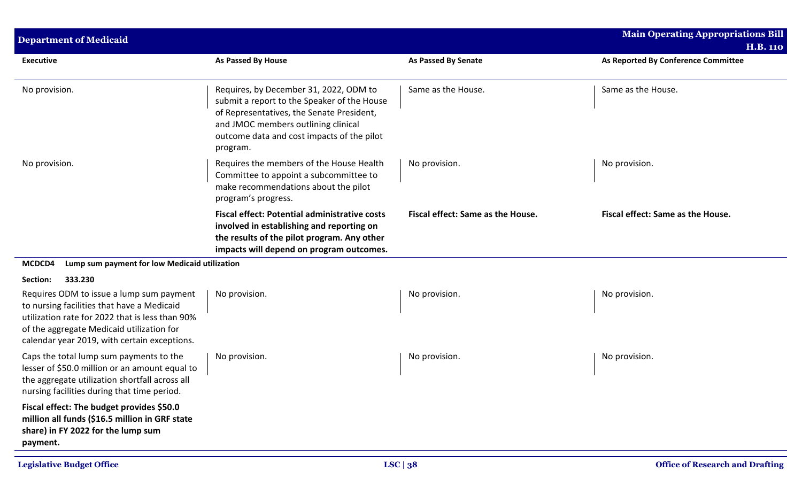| <b>Department of Medicaid</b>                                                                                                                                                                                                          |                                                                                                                                                                                                                                     |                                   | <b>Main Operating Appropriations Bill</b> |
|----------------------------------------------------------------------------------------------------------------------------------------------------------------------------------------------------------------------------------------|-------------------------------------------------------------------------------------------------------------------------------------------------------------------------------------------------------------------------------------|-----------------------------------|-------------------------------------------|
|                                                                                                                                                                                                                                        |                                                                                                                                                                                                                                     |                                   | <b>H.B. 110</b>                           |
| <b>Executive</b>                                                                                                                                                                                                                       | As Passed By House                                                                                                                                                                                                                  | <b>As Passed By Senate</b>        | As Reported By Conference Committee       |
| No provision.                                                                                                                                                                                                                          | Requires, by December 31, 2022, ODM to<br>submit a report to the Speaker of the House<br>of Representatives, the Senate President,<br>and JMOC members outlining clinical<br>outcome data and cost impacts of the pilot<br>program. | Same as the House.                | Same as the House.                        |
| No provision.                                                                                                                                                                                                                          | Requires the members of the House Health<br>Committee to appoint a subcommittee to<br>make recommendations about the pilot<br>program's progress.                                                                                   | No provision.                     | No provision.                             |
|                                                                                                                                                                                                                                        | <b>Fiscal effect: Potential administrative costs</b><br>involved in establishing and reporting on<br>the results of the pilot program. Any other<br>impacts will depend on program outcomes.                                        | Fiscal effect: Same as the House. | Fiscal effect: Same as the House.         |
| MCDCD4<br>Lump sum payment for low Medicaid utilization                                                                                                                                                                                |                                                                                                                                                                                                                                     |                                   |                                           |
| 333.230<br>Section:                                                                                                                                                                                                                    |                                                                                                                                                                                                                                     |                                   |                                           |
| Requires ODM to issue a lump sum payment<br>to nursing facilities that have a Medicaid<br>utilization rate for 2022 that is less than 90%<br>of the aggregate Medicaid utilization for<br>calendar year 2019, with certain exceptions. | No provision.                                                                                                                                                                                                                       | No provision.                     | No provision.                             |
| Caps the total lump sum payments to the<br>lesser of \$50.0 million or an amount equal to<br>the aggregate utilization shortfall across all<br>nursing facilities during that time period.                                             | No provision.                                                                                                                                                                                                                       | No provision.                     | No provision.                             |
| Fiscal effect: The budget provides \$50.0<br>million all funds (\$16.5 million in GRF state<br>share) in FY 2022 for the lump sum<br>payment.                                                                                          |                                                                                                                                                                                                                                     |                                   |                                           |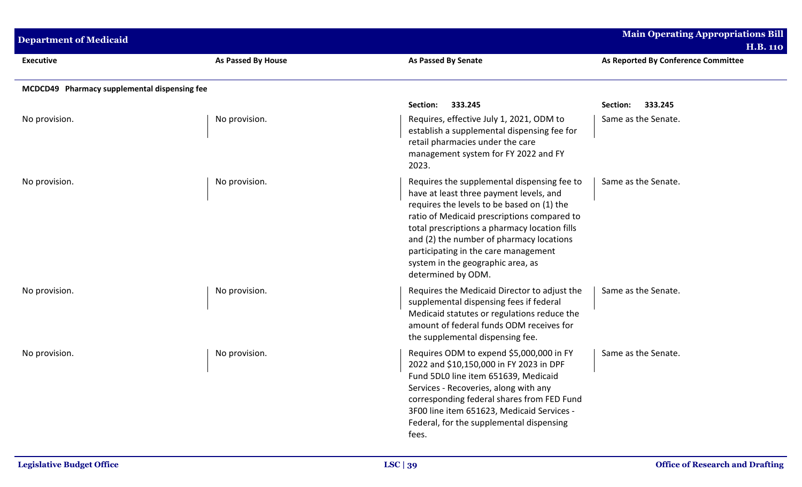| <b>Department of Medicaid</b>                |                           |                                                                                                                                                                                                                                                                                                                                                                                     | <b>Main Operating Appropriations Bill</b><br><b>H.B. 110</b> |
|----------------------------------------------|---------------------------|-------------------------------------------------------------------------------------------------------------------------------------------------------------------------------------------------------------------------------------------------------------------------------------------------------------------------------------------------------------------------------------|--------------------------------------------------------------|
| <b>Executive</b>                             | <b>As Passed By House</b> | <b>As Passed By Senate</b>                                                                                                                                                                                                                                                                                                                                                          | As Reported By Conference Committee                          |
| MCDCD49 Pharmacy supplemental dispensing fee |                           |                                                                                                                                                                                                                                                                                                                                                                                     |                                                              |
|                                              |                           | 333.245<br>Section:                                                                                                                                                                                                                                                                                                                                                                 | 333.245<br>Section:                                          |
| No provision.                                | No provision.             | Requires, effective July 1, 2021, ODM to<br>establish a supplemental dispensing fee for<br>retail pharmacies under the care<br>management system for FY 2022 and FY<br>2023.                                                                                                                                                                                                        | Same as the Senate.                                          |
| No provision.                                | No provision.             | Requires the supplemental dispensing fee to<br>have at least three payment levels, and<br>requires the levels to be based on (1) the<br>ratio of Medicaid prescriptions compared to<br>total prescriptions a pharmacy location fills<br>and (2) the number of pharmacy locations<br>participating in the care management<br>system in the geographic area, as<br>determined by ODM. | Same as the Senate.                                          |
| No provision.                                | No provision.             | Requires the Medicaid Director to adjust the<br>supplemental dispensing fees if federal<br>Medicaid statutes or regulations reduce the<br>amount of federal funds ODM receives for<br>the supplemental dispensing fee.                                                                                                                                                              | Same as the Senate.                                          |
| No provision.                                | No provision.             | Requires ODM to expend \$5,000,000 in FY<br>2022 and \$10,150,000 in FY 2023 in DPF<br>Fund 5DL0 line item 651639, Medicaid<br>Services - Recoveries, along with any<br>corresponding federal shares from FED Fund<br>3F00 line item 651623, Medicaid Services -<br>Federal, for the supplemental dispensing<br>fees.                                                               | Same as the Senate.                                          |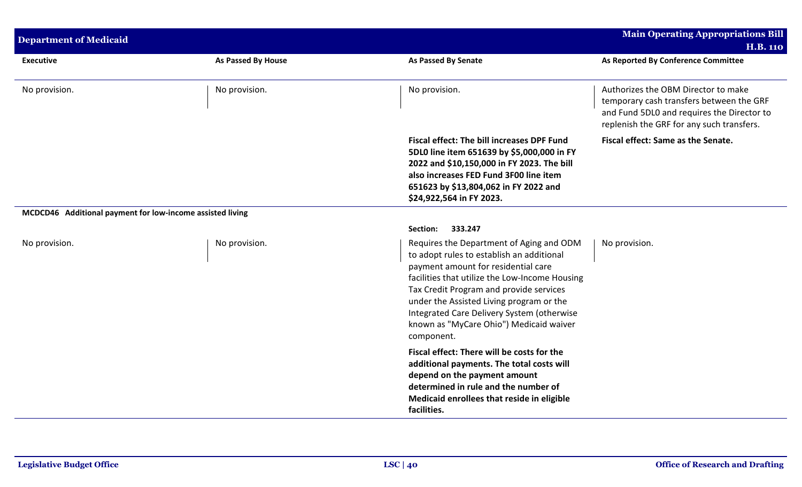| <b>Department of Medicaid</b>                             |                           |                                                                                                                                                                                                                                                                                                                                                                              | <b>Main Operating Appropriations Bill</b>                                                                                                                                  |  |
|-----------------------------------------------------------|---------------------------|------------------------------------------------------------------------------------------------------------------------------------------------------------------------------------------------------------------------------------------------------------------------------------------------------------------------------------------------------------------------------|----------------------------------------------------------------------------------------------------------------------------------------------------------------------------|--|
|                                                           |                           |                                                                                                                                                                                                                                                                                                                                                                              | <b>H.B. 110</b>                                                                                                                                                            |  |
| <b>Executive</b>                                          | <b>As Passed By House</b> | <b>As Passed By Senate</b>                                                                                                                                                                                                                                                                                                                                                   | As Reported By Conference Committee                                                                                                                                        |  |
| No provision.                                             | No provision.             | No provision.                                                                                                                                                                                                                                                                                                                                                                | Authorizes the OBM Director to make<br>temporary cash transfers between the GRF<br>and Fund 5DL0 and requires the Director to<br>replenish the GRF for any such transfers. |  |
|                                                           |                           | <b>Fiscal effect: The bill increases DPF Fund</b><br>5DL0 line item 651639 by \$5,000,000 in FY<br>2022 and \$10,150,000 in FY 2023. The bill<br>also increases FED Fund 3F00 line item<br>651623 by \$13,804,062 in FY 2022 and<br>\$24,922,564 in FY 2023.                                                                                                                 | Fiscal effect: Same as the Senate.                                                                                                                                         |  |
| MCDCD46 Additional payment for low-income assisted living |                           |                                                                                                                                                                                                                                                                                                                                                                              |                                                                                                                                                                            |  |
|                                                           |                           | 333.247<br>Section:                                                                                                                                                                                                                                                                                                                                                          |                                                                                                                                                                            |  |
| No provision.                                             | No provision.             | Requires the Department of Aging and ODM<br>to adopt rules to establish an additional<br>payment amount for residential care<br>facilities that utilize the Low-Income Housing<br>Tax Credit Program and provide services<br>under the Assisted Living program or the<br>Integrated Care Delivery System (otherwise<br>known as "MyCare Ohio") Medicaid waiver<br>component. | No provision.                                                                                                                                                              |  |
|                                                           |                           | Fiscal effect: There will be costs for the<br>additional payments. The total costs will<br>depend on the payment amount<br>determined in rule and the number of<br>Medicaid enrollees that reside in eligible<br>facilities.                                                                                                                                                 |                                                                                                                                                                            |  |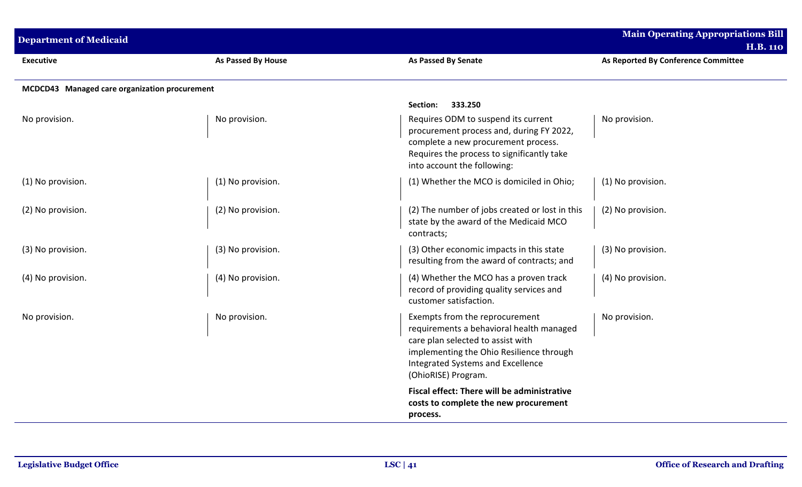| <b>Department of Medicaid</b>                 |                    |                                                                                                                                                                                                                         | <b>Main Operating Appropriations Bill</b><br><b>H.B. 110</b> |
|-----------------------------------------------|--------------------|-------------------------------------------------------------------------------------------------------------------------------------------------------------------------------------------------------------------------|--------------------------------------------------------------|
| <b>Executive</b>                              | As Passed By House | As Passed By Senate                                                                                                                                                                                                     | As Reported By Conference Committee                          |
| MCDCD43 Managed care organization procurement |                    |                                                                                                                                                                                                                         |                                                              |
|                                               |                    | 333.250<br><b>Section:</b>                                                                                                                                                                                              |                                                              |
| No provision.                                 | No provision.      | Requires ODM to suspend its current<br>procurement process and, during FY 2022,<br>complete a new procurement process.<br>Requires the process to significantly take<br>into account the following:                     | No provision.                                                |
| (1) No provision.                             | (1) No provision.  | (1) Whether the MCO is domiciled in Ohio;                                                                                                                                                                               | (1) No provision.                                            |
| (2) No provision.                             | (2) No provision.  | (2) The number of jobs created or lost in this<br>state by the award of the Medicaid MCO<br>contracts;                                                                                                                  | (2) No provision.                                            |
| (3) No provision.                             | (3) No provision.  | (3) Other economic impacts in this state<br>resulting from the award of contracts; and                                                                                                                                  | (3) No provision.                                            |
| (4) No provision.                             | (4) No provision.  | (4) Whether the MCO has a proven track<br>record of providing quality services and<br>customer satisfaction.                                                                                                            | (4) No provision.                                            |
| No provision.                                 | No provision.      | Exempts from the reprocurement<br>requirements a behavioral health managed<br>care plan selected to assist with<br>implementing the Ohio Resilience through<br>Integrated Systems and Excellence<br>(OhioRISE) Program. | No provision.                                                |
|                                               |                    | Fiscal effect: There will be administrative<br>costs to complete the new procurement<br>process.                                                                                                                        |                                                              |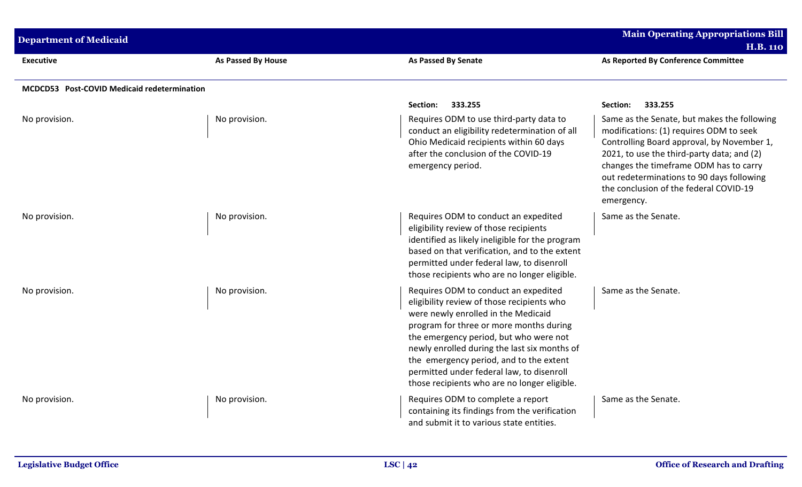| <b>Department of Medicaid</b>               |                    |                                                                                                                                                                                                                                                                                                                                                                                                        | <b>Main Operating Appropriations Bill</b><br><b>H.B. 110</b>                                                                                                                                                                                                                                                                               |
|---------------------------------------------|--------------------|--------------------------------------------------------------------------------------------------------------------------------------------------------------------------------------------------------------------------------------------------------------------------------------------------------------------------------------------------------------------------------------------------------|--------------------------------------------------------------------------------------------------------------------------------------------------------------------------------------------------------------------------------------------------------------------------------------------------------------------------------------------|
| <b>Executive</b>                            | As Passed By House | As Passed By Senate                                                                                                                                                                                                                                                                                                                                                                                    | As Reported By Conference Committee                                                                                                                                                                                                                                                                                                        |
| MCDCD53 Post-COVID Medicaid redetermination |                    |                                                                                                                                                                                                                                                                                                                                                                                                        |                                                                                                                                                                                                                                                                                                                                            |
| No provision.                               | No provision.      | Section:<br>333.255<br>Requires ODM to use third-party data to<br>conduct an eligibility redetermination of all<br>Ohio Medicaid recipients within 60 days<br>after the conclusion of the COVID-19<br>emergency period.                                                                                                                                                                                | 333.255<br>Section:<br>Same as the Senate, but makes the following<br>modifications: (1) requires ODM to seek<br>Controlling Board approval, by November 1,<br>2021, to use the third-party data; and (2)<br>changes the timeframe ODM has to carry<br>out redeterminations to 90 days following<br>the conclusion of the federal COVID-19 |
| No provision.                               | No provision.      | Requires ODM to conduct an expedited<br>eligibility review of those recipients<br>identified as likely ineligible for the program<br>based on that verification, and to the extent<br>permitted under federal law, to disenroll<br>those recipients who are no longer eligible.                                                                                                                        | emergency.<br>Same as the Senate.                                                                                                                                                                                                                                                                                                          |
| No provision.                               | No provision.      | Requires ODM to conduct an expedited<br>eligibility review of those recipients who<br>were newly enrolled in the Medicaid<br>program for three or more months during<br>the emergency period, but who were not<br>newly enrolled during the last six months of<br>the emergency period, and to the extent<br>permitted under federal law, to disenroll<br>those recipients who are no longer eligible. | Same as the Senate.                                                                                                                                                                                                                                                                                                                        |
| No provision.                               | No provision.      | Requires ODM to complete a report<br>containing its findings from the verification<br>and submit it to various state entities.                                                                                                                                                                                                                                                                         | Same as the Senate.                                                                                                                                                                                                                                                                                                                        |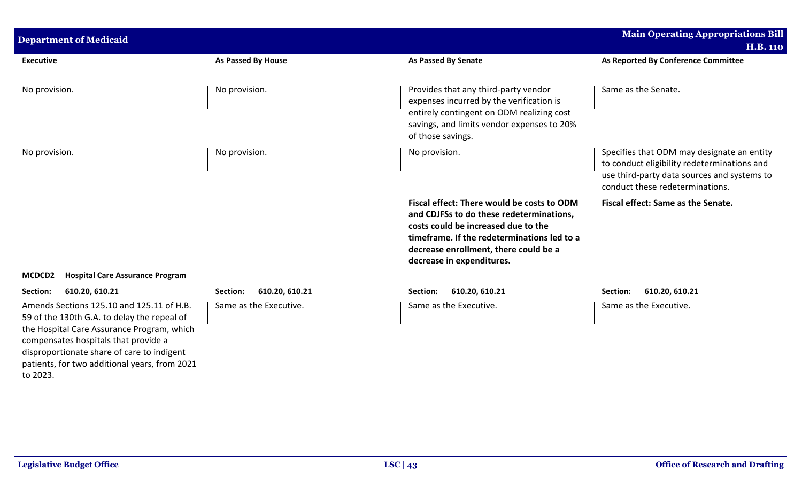| <b>Department of Medicaid</b>                                                                                                                                                                                                                                                             |                            |                                                                                                                                                                                                                                                    | <b>Main Operating Appropriations Bill</b>                                                                                                                                   |
|-------------------------------------------------------------------------------------------------------------------------------------------------------------------------------------------------------------------------------------------------------------------------------------------|----------------------------|----------------------------------------------------------------------------------------------------------------------------------------------------------------------------------------------------------------------------------------------------|-----------------------------------------------------------------------------------------------------------------------------------------------------------------------------|
| <b>Executive</b>                                                                                                                                                                                                                                                                          | As Passed By House         | <b>As Passed By Senate</b>                                                                                                                                                                                                                         | <b>H.B. 110</b><br>As Reported By Conference Committee                                                                                                                      |
|                                                                                                                                                                                                                                                                                           |                            |                                                                                                                                                                                                                                                    |                                                                                                                                                                             |
| No provision.                                                                                                                                                                                                                                                                             | No provision.              | Provides that any third-party vendor<br>expenses incurred by the verification is<br>entirely contingent on ODM realizing cost<br>savings, and limits vendor expenses to 20%<br>of those savings.                                                   | Same as the Senate.                                                                                                                                                         |
| No provision.                                                                                                                                                                                                                                                                             | No provision.              | No provision.                                                                                                                                                                                                                                      | Specifies that ODM may designate an entity<br>to conduct eligibility redeterminations and<br>use third-party data sources and systems to<br>conduct these redeterminations. |
|                                                                                                                                                                                                                                                                                           |                            | Fiscal effect: There would be costs to ODM<br>and CDJFSs to do these redeterminations,<br>costs could be increased due to the<br>timeframe. If the redeterminations led to a<br>decrease enrollment, there could be a<br>decrease in expenditures. | Fiscal effect: Same as the Senate.                                                                                                                                          |
| MCDCD2<br><b>Hospital Care Assurance Program</b>                                                                                                                                                                                                                                          |                            |                                                                                                                                                                                                                                                    |                                                                                                                                                                             |
| Section:<br>610.20, 610.21                                                                                                                                                                                                                                                                | 610.20, 610.21<br>Section: | 610.20, 610.21<br>Section:                                                                                                                                                                                                                         | 610.20, 610.21<br>Section:                                                                                                                                                  |
| Amends Sections 125.10 and 125.11 of H.B.<br>59 of the 130th G.A. to delay the repeal of<br>the Hospital Care Assurance Program, which<br>compensates hospitals that provide a<br>disproportionate share of care to indigent<br>patients, for two additional years, from 2021<br>to 2023. | Same as the Executive.     | Same as the Executive.                                                                                                                                                                                                                             | Same as the Executive.                                                                                                                                                      |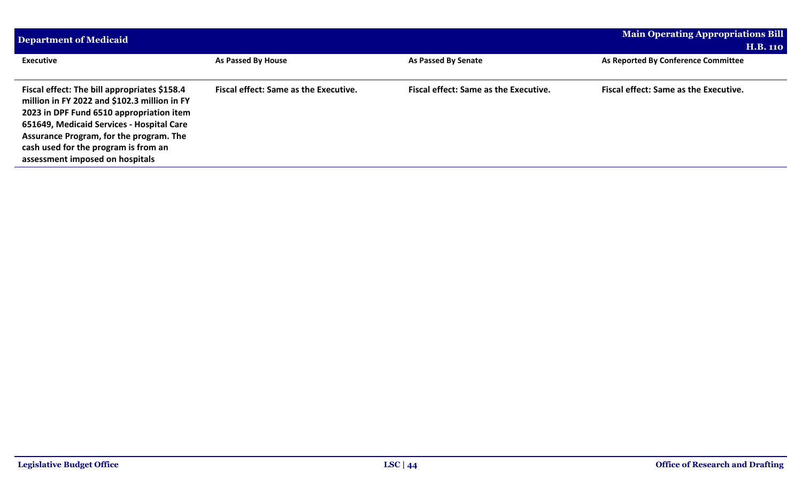| Department of Medicaid                                                                                                                                                                                                                                                                                      | <b>Main Operating Appropriations Bill</b>    |                                              |                                              |
|-------------------------------------------------------------------------------------------------------------------------------------------------------------------------------------------------------------------------------------------------------------------------------------------------------------|----------------------------------------------|----------------------------------------------|----------------------------------------------|
|                                                                                                                                                                                                                                                                                                             | <b>H.B. 110</b>                              |                                              |                                              |
| <b>Executive</b>                                                                                                                                                                                                                                                                                            | As Passed By House                           | As Passed By Senate                          | As Reported By Conference Committee          |
|                                                                                                                                                                                                                                                                                                             |                                              |                                              |                                              |
| Fiscal effect: The bill appropriates \$158.4<br>million in FY 2022 and \$102.3 million in FY<br>2023 in DPF Fund 6510 appropriation item<br>651649, Medicaid Services - Hospital Care<br>Assurance Program, for the program. The<br>cash used for the program is from an<br>assessment imposed on hospitals | <b>Fiscal effect: Same as the Executive.</b> | <b>Fiscal effect: Same as the Executive.</b> | <b>Fiscal effect: Same as the Executive.</b> |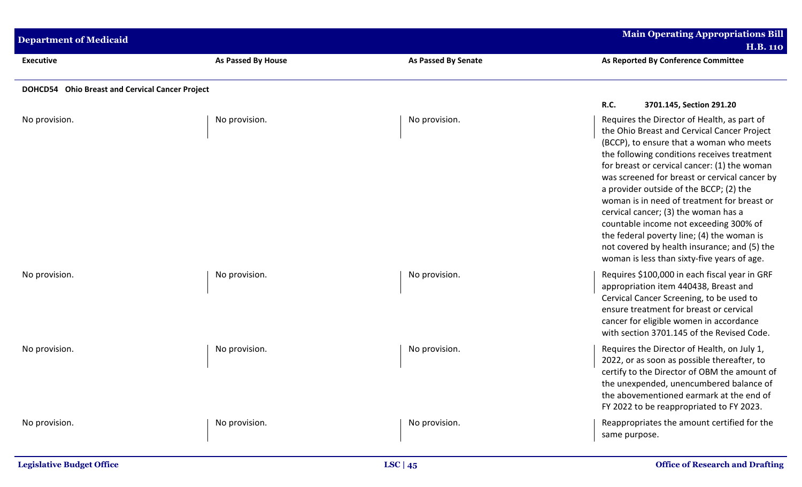| <b>Department of Medicaid</b>                   |                    |                            | <b>Main Operating Appropriations Bill</b><br><b>H.B. 110</b>                                                                                                                                                                                                                                                                                                                                                                                                                                                                                                                                                    |
|-------------------------------------------------|--------------------|----------------------------|-----------------------------------------------------------------------------------------------------------------------------------------------------------------------------------------------------------------------------------------------------------------------------------------------------------------------------------------------------------------------------------------------------------------------------------------------------------------------------------------------------------------------------------------------------------------------------------------------------------------|
| <b>Executive</b>                                | As Passed By House | <b>As Passed By Senate</b> | As Reported By Conference Committee                                                                                                                                                                                                                                                                                                                                                                                                                                                                                                                                                                             |
| DOHCD54 Ohio Breast and Cervical Cancer Project |                    |                            |                                                                                                                                                                                                                                                                                                                                                                                                                                                                                                                                                                                                                 |
|                                                 |                    |                            | <b>R.C.</b><br>3701.145, Section 291.20                                                                                                                                                                                                                                                                                                                                                                                                                                                                                                                                                                         |
| No provision.                                   | No provision.      | No provision.              | Requires the Director of Health, as part of<br>the Ohio Breast and Cervical Cancer Project<br>(BCCP), to ensure that a woman who meets<br>the following conditions receives treatment<br>for breast or cervical cancer: (1) the woman<br>was screened for breast or cervical cancer by<br>a provider outside of the BCCP; (2) the<br>woman is in need of treatment for breast or<br>cervical cancer; (3) the woman has a<br>countable income not exceeding 300% of<br>the federal poverty line; (4) the woman is<br>not covered by health insurance; and (5) the<br>woman is less than sixty-five years of age. |
| No provision.                                   | No provision.      | No provision.              | Requires \$100,000 in each fiscal year in GRF<br>appropriation item 440438, Breast and<br>Cervical Cancer Screening, to be used to<br>ensure treatment for breast or cervical<br>cancer for eligible women in accordance<br>with section 3701.145 of the Revised Code.                                                                                                                                                                                                                                                                                                                                          |
| No provision.                                   | No provision.      | No provision.              | Requires the Director of Health, on July 1,<br>2022, or as soon as possible thereafter, to<br>certify to the Director of OBM the amount of<br>the unexpended, unencumbered balance of<br>the abovementioned earmark at the end of<br>FY 2022 to be reappropriated to FY 2023.                                                                                                                                                                                                                                                                                                                                   |
| No provision.                                   | No provision.      | No provision.              | Reappropriates the amount certified for the<br>same purpose.                                                                                                                                                                                                                                                                                                                                                                                                                                                                                                                                                    |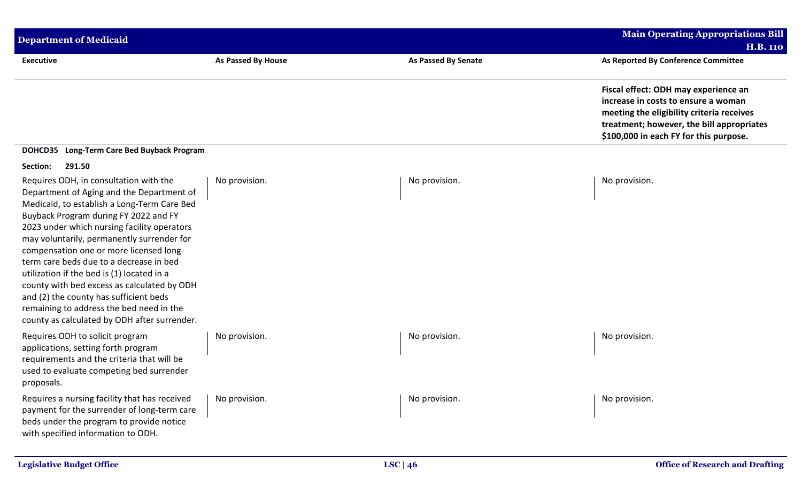| <b>Department of Medicaid</b>                                                                                                                                                                                                                                                                                                                                                                                                                                                                                                                                                                     |                    |                            | Main Operating Appropriations Bill<br><b>H.B. 110</b>                                                                                                                                                           |
|---------------------------------------------------------------------------------------------------------------------------------------------------------------------------------------------------------------------------------------------------------------------------------------------------------------------------------------------------------------------------------------------------------------------------------------------------------------------------------------------------------------------------------------------------------------------------------------------------|--------------------|----------------------------|-----------------------------------------------------------------------------------------------------------------------------------------------------------------------------------------------------------------|
| <b>Executive</b>                                                                                                                                                                                                                                                                                                                                                                                                                                                                                                                                                                                  | As Passed By House | <b>As Passed By Senate</b> | As Reported By Conference Committee                                                                                                                                                                             |
|                                                                                                                                                                                                                                                                                                                                                                                                                                                                                                                                                                                                   |                    |                            | Fiscal effect: ODH may experience an<br>increase in costs to ensure a woman<br>meeting the eligibility criteria receives<br>treatment; however, the bill appropriates<br>\$100,000 in each FY for this purpose. |
| DOHCD35 Long-Term Care Bed Buyback Program                                                                                                                                                                                                                                                                                                                                                                                                                                                                                                                                                        |                    |                            |                                                                                                                                                                                                                 |
| 291.50<br>Section:                                                                                                                                                                                                                                                                                                                                                                                                                                                                                                                                                                                |                    |                            |                                                                                                                                                                                                                 |
| Requires ODH, in consultation with the<br>Department of Aging and the Department of<br>Medicaid, to establish a Long-Term Care Bed<br>Buyback Program during FY 2022 and FY<br>2023 under which nursing facility operators<br>may voluntarily, permanently surrender for<br>compensation one or more licensed long-<br>term care beds due to a decrease in bed<br>utilization if the bed is (1) located in a<br>county with bed excess as calculated by ODH<br>and (2) the county has sufficient beds<br>remaining to address the bed need in the<br>county as calculated by ODH after surrender. | No provision.      | No provision.              | No provision.                                                                                                                                                                                                   |
| Requires ODH to solicit program<br>applications, setting forth program<br>requirements and the criteria that will be<br>used to evaluate competing bed surrender<br>proposals.                                                                                                                                                                                                                                                                                                                                                                                                                    | No provision.      | No provision.              | No provision.                                                                                                                                                                                                   |
| Requires a nursing facility that has received<br>payment for the surrender of long-term care<br>beds under the program to provide notice<br>with specified information to ODH.                                                                                                                                                                                                                                                                                                                                                                                                                    | No provision.      | No provision.              | No provision.                                                                                                                                                                                                   |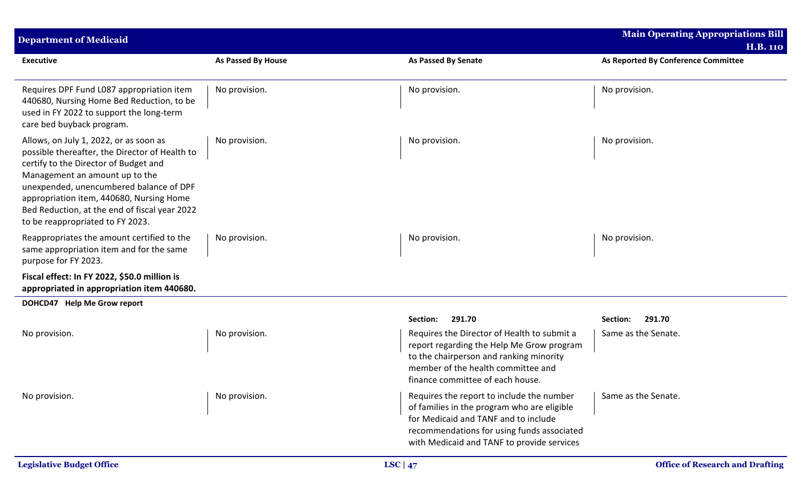| <b>Department of Medicaid</b>                                                                                                                                                                                                                                                                                                                   |                           |                                                                                                                                                                                                                              | <b>Main Operating Appropriations Bill</b><br><b>H.B. 110</b> |
|-------------------------------------------------------------------------------------------------------------------------------------------------------------------------------------------------------------------------------------------------------------------------------------------------------------------------------------------------|---------------------------|------------------------------------------------------------------------------------------------------------------------------------------------------------------------------------------------------------------------------|--------------------------------------------------------------|
| <b>Executive</b>                                                                                                                                                                                                                                                                                                                                | <b>As Passed By House</b> | <b>As Passed By Senate</b>                                                                                                                                                                                                   | As Reported By Conference Committee                          |
| Requires DPF Fund L087 appropriation item<br>440680, Nursing Home Bed Reduction, to be<br>used in FY 2022 to support the long-term<br>care bed buyback program.                                                                                                                                                                                 | No provision.             | No provision.                                                                                                                                                                                                                | No provision.                                                |
| Allows, on July 1, 2022, or as soon as<br>possible thereafter, the Director of Health to<br>certify to the Director of Budget and<br>Management an amount up to the<br>unexpended, unencumbered balance of DPF<br>appropriation item, 440680, Nursing Home<br>Bed Reduction, at the end of fiscal year 2022<br>to be reappropriated to FY 2023. | No provision.             | No provision.                                                                                                                                                                                                                | No provision.                                                |
| Reappropriates the amount certified to the<br>same appropriation item and for the same<br>purpose for FY 2023.                                                                                                                                                                                                                                  | No provision.             | No provision.                                                                                                                                                                                                                | No provision.                                                |
| Fiscal effect: In FY 2022, \$50.0 million is<br>appropriated in appropriation item 440680.                                                                                                                                                                                                                                                      |                           |                                                                                                                                                                                                                              |                                                              |
| DOHCD47 Help Me Grow report                                                                                                                                                                                                                                                                                                                     |                           |                                                                                                                                                                                                                              |                                                              |
|                                                                                                                                                                                                                                                                                                                                                 |                           | 291.70<br>Section:                                                                                                                                                                                                           | 291.70<br>Section:                                           |
| No provision.                                                                                                                                                                                                                                                                                                                                   | No provision.             | Requires the Director of Health to submit a<br>report regarding the Help Me Grow program<br>to the chairperson and ranking minority<br>member of the health committee and<br>finance committee of each house.                | Same as the Senate.                                          |
| No provision.                                                                                                                                                                                                                                                                                                                                   | No provision.             | Requires the report to include the number<br>of families in the program who are eligible<br>for Medicaid and TANF and to include<br>recommendations for using funds associated<br>with Medicaid and TANF to provide services | Same as the Senate.                                          |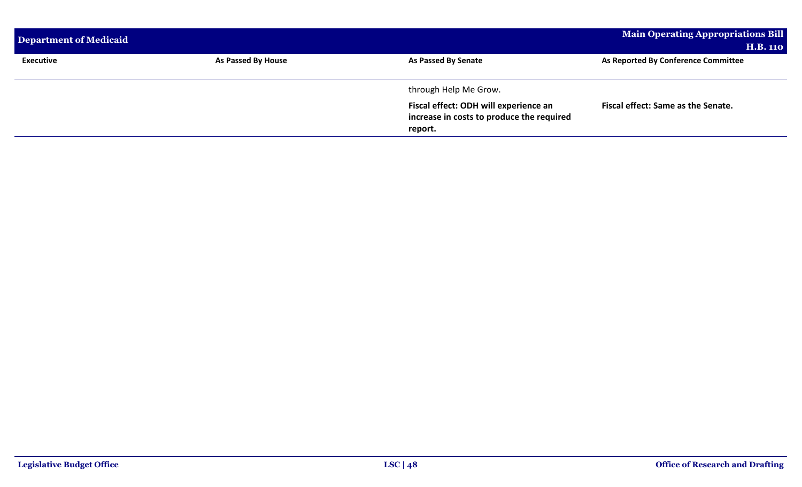| Department of Medicaid |                    |                                                                                               | <b>Main Operating Appropriations Bill</b> |
|------------------------|--------------------|-----------------------------------------------------------------------------------------------|-------------------------------------------|
|                        |                    |                                                                                               | <b>H.B. 110</b>                           |
| <b>Executive</b>       | As Passed By House | As Passed By Senate                                                                           | As Reported By Conference Committee       |
|                        |                    |                                                                                               |                                           |
|                        |                    | through Help Me Grow.                                                                         |                                           |
|                        |                    | Fiscal effect: ODH will experience an<br>increase in costs to produce the required<br>report. | Fiscal effect: Same as the Senate.        |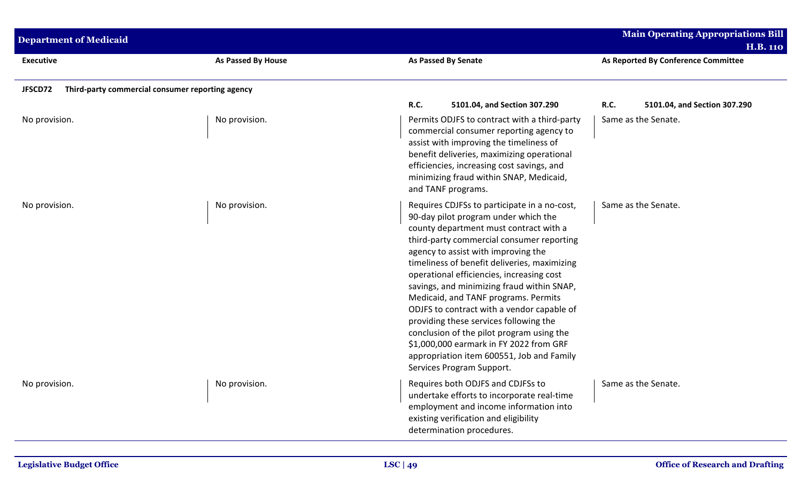| <b>Department of Medicaid</b>                               |                    |                                                                                                                                                                                                                                                                                                                                                                                                                                                                                                                                                                                                                                                                 | <b>Main Operating Appropriations Bill</b><br><b>H.B. 110</b>       |
|-------------------------------------------------------------|--------------------|-----------------------------------------------------------------------------------------------------------------------------------------------------------------------------------------------------------------------------------------------------------------------------------------------------------------------------------------------------------------------------------------------------------------------------------------------------------------------------------------------------------------------------------------------------------------------------------------------------------------------------------------------------------------|--------------------------------------------------------------------|
| <b>Executive</b>                                            | As Passed By House | As Passed By Senate                                                                                                                                                                                                                                                                                                                                                                                                                                                                                                                                                                                                                                             | As Reported By Conference Committee                                |
| Third-party commercial consumer reporting agency<br>JFSCD72 |                    |                                                                                                                                                                                                                                                                                                                                                                                                                                                                                                                                                                                                                                                                 |                                                                    |
| No provision.                                               | No provision.      | R.C.<br>5101.04, and Section 307.290<br>Permits ODJFS to contract with a third-party<br>commercial consumer reporting agency to<br>assist with improving the timeliness of<br>benefit deliveries, maximizing operational<br>efficiencies, increasing cost savings, and<br>minimizing fraud within SNAP, Medicaid,<br>and TANF programs.                                                                                                                                                                                                                                                                                                                         | <b>R.C.</b><br>5101.04, and Section 307.290<br>Same as the Senate. |
| No provision.                                               | No provision.      | Requires CDJFSs to participate in a no-cost,<br>90-day pilot program under which the<br>county department must contract with a<br>third-party commercial consumer reporting<br>agency to assist with improving the<br>timeliness of benefit deliveries, maximizing<br>operational efficiencies, increasing cost<br>savings, and minimizing fraud within SNAP,<br>Medicaid, and TANF programs. Permits<br>ODJFS to contract with a vendor capable of<br>providing these services following the<br>conclusion of the pilot program using the<br>\$1,000,000 earmark in FY 2022 from GRF<br>appropriation item 600551, Job and Family<br>Services Program Support. | Same as the Senate.                                                |
| No provision.                                               | No provision.      | Requires both ODJFS and CDJFSs to<br>undertake efforts to incorporate real-time<br>employment and income information into<br>existing verification and eligibility<br>determination procedures.                                                                                                                                                                                                                                                                                                                                                                                                                                                                 | Same as the Senate.                                                |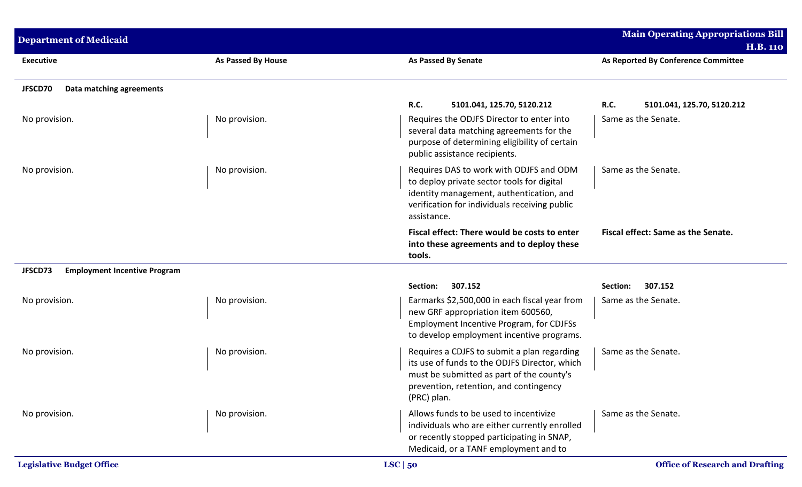| <b>Department of Medicaid</b>                  |                    |                                                                                                                                                                                                    | <b>Main Operating Appropriations Bill</b><br><b>H.B. 110</b> |
|------------------------------------------------|--------------------|----------------------------------------------------------------------------------------------------------------------------------------------------------------------------------------------------|--------------------------------------------------------------|
| <b>Executive</b>                               | As Passed By House | <b>As Passed By Senate</b>                                                                                                                                                                         | As Reported By Conference Committee                          |
| JFSCD70<br>Data matching agreements            |                    |                                                                                                                                                                                                    |                                                              |
|                                                |                    | R.C.<br>5101.041, 125.70, 5120.212                                                                                                                                                                 | <b>R.C.</b><br>5101.041, 125.70, 5120.212                    |
| No provision.                                  | No provision.      | Requires the ODJFS Director to enter into<br>several data matching agreements for the<br>purpose of determining eligibility of certain<br>public assistance recipients.                            | Same as the Senate.                                          |
| No provision.                                  | No provision.      | Requires DAS to work with ODJFS and ODM<br>to deploy private sector tools for digital<br>identity management, authentication, and<br>verification for individuals receiving public<br>assistance.  | Same as the Senate.                                          |
|                                                |                    | Fiscal effect: There would be costs to enter<br>into these agreements and to deploy these<br>tools.                                                                                                | Fiscal effect: Same as the Senate.                           |
| JFSCD73<br><b>Employment Incentive Program</b> |                    |                                                                                                                                                                                                    |                                                              |
|                                                |                    | Section:<br>307.152                                                                                                                                                                                | 307.152<br>Section:                                          |
| No provision.                                  | No provision.      | Earmarks \$2,500,000 in each fiscal year from<br>new GRF appropriation item 600560,<br>Employment Incentive Program, for CDJFSs<br>to develop employment incentive programs.                       | Same as the Senate.                                          |
| No provision.                                  | No provision.      | Requires a CDJFS to submit a plan regarding<br>its use of funds to the ODJFS Director, which<br>must be submitted as part of the county's<br>prevention, retention, and contingency<br>(PRC) plan. | Same as the Senate.                                          |
| No provision.                                  | No provision.      | Allows funds to be used to incentivize<br>individuals who are either currently enrolled<br>or recently stopped participating in SNAP,<br>Medicaid, or a TANF employment and to                     | Same as the Senate.                                          |
| <b>Legislative Budget Office</b>               |                    | LSC $ 50$                                                                                                                                                                                          | <b>Office of Research and Drafting</b>                       |